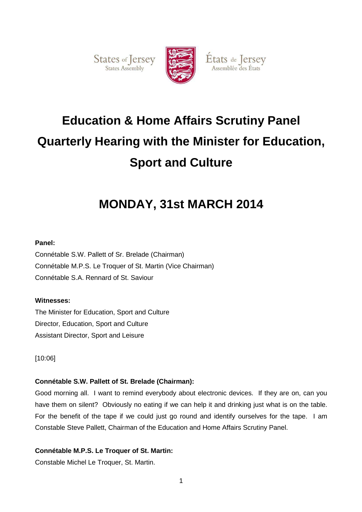States of Jersey States Assembly



États de Jersey Assemblée des États

# **Education & Home Affairs Scrutiny Panel Quarterly Hearing with the Minister for Education, Sport and Culture**

## **MONDAY, 31st MARCH 2014**

## **Panel:**

Connétable S.W. Pallett of Sr. Brelade (Chairman) Connétable M.P.S. Le Troquer of St. Martin (Vice Chairman) Connétable S.A. Rennard of St. Saviour

## **Witnesses:**

The Minister for Education, Sport and Culture Director, Education, Sport and Culture Assistant Director, Sport and Leisure

[10:06]

## **Connétable S.W. Pallett of St. Brelade (Chairman):**

Good morning all. I want to remind everybody about electronic devices. If they are on, can you have them on silent? Obviously no eating if we can help it and drinking just what is on the table. For the benefit of the tape if we could just go round and identify ourselves for the tape. I am Constable Steve Pallett, Chairman of the Education and Home Affairs Scrutiny Panel.

## **Connétable M.P.S. Le Troquer of St. Martin:**

Constable Michel Le Troquer, St. Martin.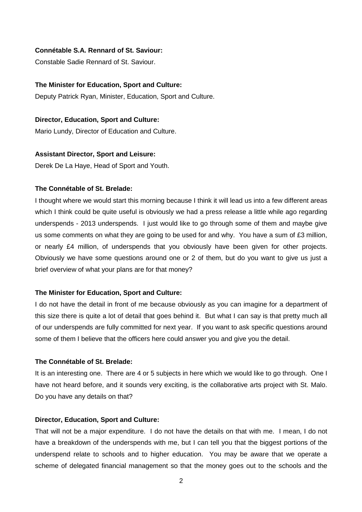## **Connétable S.A. Rennard of St. Saviour:**

Constable Sadie Rennard of St. Saviour.

#### **The Minister for Education, Sport and Culture:**

Deputy Patrick Ryan, Minister, Education, Sport and Culture.

#### **Director, Education, Sport and Culture:**

Mario Lundy, Director of Education and Culture.

#### **Assistant Director, Sport and Leisure:**

Derek De La Haye, Head of Sport and Youth.

## **The Connétable of St. Brelade:**

I thought where we would start this morning because I think it will lead us into a few different areas which I think could be quite useful is obviously we had a press release a little while ago regarding underspends - 2013 underspends. I just would like to go through some of them and maybe give us some comments on what they are going to be used for and why. You have a sum of £3 million, or nearly £4 million, of underspends that you obviously have been given for other projects. Obviously we have some questions around one or 2 of them, but do you want to give us just a brief overview of what your plans are for that money?

#### **The Minister for Education, Sport and Culture:**

I do not have the detail in front of me because obviously as you can imagine for a department of this size there is quite a lot of detail that goes behind it. But what I can say is that pretty much all of our underspends are fully committed for next year. If you want to ask specific questions around some of them I believe that the officers here could answer you and give you the detail.

#### **The Connétable of St. Brelade:**

It is an interesting one. There are 4 or 5 subjects in here which we would like to go through. One I have not heard before, and it sounds very exciting, is the collaborative arts project with St. Malo. Do you have any details on that?

#### **Director, Education, Sport and Culture:**

That will not be a major expenditure. I do not have the details on that with me. I mean, I do not have a breakdown of the underspends with me, but I can tell you that the biggest portions of the underspend relate to schools and to higher education. You may be aware that we operate a scheme of delegated financial management so that the money goes out to the schools and the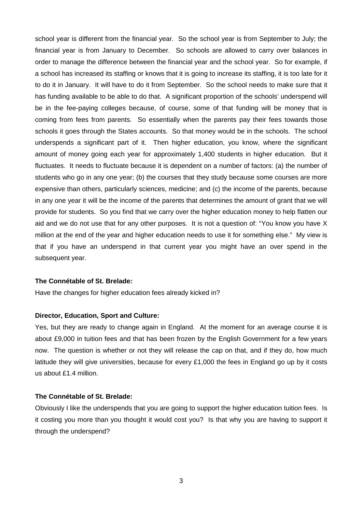school year is different from the financial year. So the school year is from September to July; the financial year is from January to December. So schools are allowed to carry over balances in order to manage the difference between the financial year and the school year. So for example, if a school has increased its staffing or knows that it is going to increase its staffing, it is too late for it to do it in January. It will have to do it from September. So the school needs to make sure that it has funding available to be able to do that. A significant proportion of the schools' underspend will be in the fee-paying colleges because, of course, some of that funding will be money that is coming from fees from parents. So essentially when the parents pay their fees towards those schools it goes through the States accounts. So that money would be in the schools. The school underspends a significant part of it. Then higher education, you know, where the significant amount of money going each year for approximately 1,400 students in higher education. But it fluctuates. It needs to fluctuate because it is dependent on a number of factors: (a) the number of students who go in any one year; (b) the courses that they study because some courses are more expensive than others, particularly sciences, medicine; and (c) the income of the parents, because in any one year it will be the income of the parents that determines the amount of grant that we will provide for students. So you find that we carry over the higher education money to help flatten our aid and we do not use that for any other purposes. It is not a question of: "You know you have X million at the end of the year and higher education needs to use it for something else." My view is that if you have an underspend in that current year you might have an over spend in the subsequent year.

#### **The Connétable of St. Brelade:**

Have the changes for higher education fees already kicked in?

## **Director, Education, Sport and Culture:**

Yes, but they are ready to change again in England. At the moment for an average course it is about £9,000 in tuition fees and that has been frozen by the English Government for a few years now. The question is whether or not they will release the cap on that, and if they do, how much latitude they will give universities, because for every £1,000 the fees in England go up by it costs us about £1.4 million.

## **The Connétable of St. Brelade:**

Obviously I like the underspends that you are going to support the higher education tuition fees. Is it costing you more than you thought it would cost you? Is that why you are having to support it through the underspend?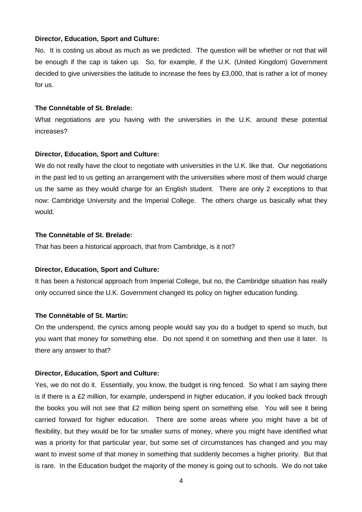No. It is costing us about as much as we predicted. The question will be whether or not that will be enough if the cap is taken up. So, for example, if the U.K. (United Kingdom) Government decided to give universities the latitude to increase the fees by £3,000, that is rather a lot of money for us.

#### **The Connétable of St. Brelade:**

What negotiations are you having with the universities in the U.K. around these potential increases?

## **Director, Education, Sport and Culture:**

We do not really have the clout to negotiate with universities in the U.K. like that. Our negotiations in the past led to us getting an arrangement with the universities where most of them would charge us the same as they would charge for an English student. There are only 2 exceptions to that now: Cambridge University and the Imperial College. The others charge us basically what they would.

## **The Connétable of St. Brelade:**

That has been a historical approach, that from Cambridge, is it not?

## **Director, Education, Sport and Culture:**

It has been a historical approach from Imperial College, but no, the Cambridge situation has really only occurred since the U.K. Government changed its policy on higher education funding.

## **The Connétable of St. Martin:**

On the underspend, the cynics among people would say you do a budget to spend so much, but you want that money for something else. Do not spend it on something and then use it later. Is there any answer to that?

#### **Director, Education, Sport and Culture:**

Yes, we do not do it. Essentially, you know, the budget is ring fenced. So what I am saying there is if there is a £2 million, for example, underspend in higher education, if you looked back through the books you will not see that £2 million being spent on something else. You will see it being carried forward for higher education. There are some areas where you might have a bit of flexibility, but they would be for far smaller sums of money, where you might have identified what was a priority for that particular year, but some set of circumstances has changed and you may want to invest some of that money in something that suddenly becomes a higher priority. But that is rare. In the Education budget the majority of the money is going out to schools. We do not take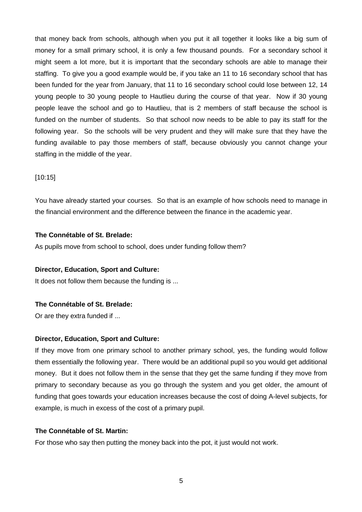that money back from schools, although when you put it all together it looks like a big sum of money for a small primary school, it is only a few thousand pounds. For a secondary school it might seem a lot more, but it is important that the secondary schools are able to manage their staffing. To give you a good example would be, if you take an 11 to 16 secondary school that has been funded for the year from January, that 11 to 16 secondary school could lose between 12, 14 young people to 30 young people to Hautlieu during the course of that year. Now if 30 young people leave the school and go to Hautlieu, that is 2 members of staff because the school is funded on the number of students. So that school now needs to be able to pay its staff for the following year. So the schools will be very prudent and they will make sure that they have the funding available to pay those members of staff, because obviously you cannot change your staffing in the middle of the year.

## [10:15]

You have already started your courses. So that is an example of how schools need to manage in the financial environment and the difference between the finance in the academic year.

## **The Connétable of St. Brelade:**

As pupils move from school to school, does under funding follow them?

## **Director, Education, Sport and Culture:**

It does not follow them because the funding is ...

## **The Connétable of St. Brelade:**

Or are they extra funded if ...

#### **Director, Education, Sport and Culture:**

If they move from one primary school to another primary school, yes, the funding would follow them essentially the following year. There would be an additional pupil so you would get additional money. But it does not follow them in the sense that they get the same funding if they move from primary to secondary because as you go through the system and you get older, the amount of funding that goes towards your education increases because the cost of doing A-level subjects, for example, is much in excess of the cost of a primary pupil.

## **The Connétable of St. Martin:**

For those who say then putting the money back into the pot, it just would not work.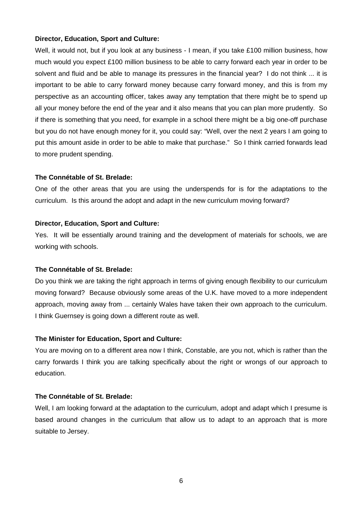Well, it would not, but if you look at any business - I mean, if you take £100 million business, how much would you expect £100 million business to be able to carry forward each year in order to be solvent and fluid and be able to manage its pressures in the financial year? I do not think ... it is important to be able to carry forward money because carry forward money, and this is from my perspective as an accounting officer, takes away any temptation that there might be to spend up all your money before the end of the year and it also means that you can plan more prudently. So if there is something that you need, for example in a school there might be a big one-off purchase but you do not have enough money for it, you could say: "Well, over the next 2 years I am going to put this amount aside in order to be able to make that purchase." So I think carried forwards lead to more prudent spending.

#### **The Connétable of St. Brelade:**

One of the other areas that you are using the underspends for is for the adaptations to the curriculum. Is this around the adopt and adapt in the new curriculum moving forward?

#### **Director, Education, Sport and Culture:**

Yes. It will be essentially around training and the development of materials for schools, we are working with schools.

#### **The Connétable of St. Brelade:**

Do you think we are taking the right approach in terms of giving enough flexibility to our curriculum moving forward? Because obviously some areas of the U.K. have moved to a more independent approach, moving away from ... certainly Wales have taken their own approach to the curriculum. I think Guernsey is going down a different route as well.

#### **The Minister for Education, Sport and Culture:**

You are moving on to a different area now I think, Constable, are you not, which is rather than the carry forwards I think you are talking specifically about the right or wrongs of our approach to education.

## **The Connétable of St. Brelade:**

Well, I am looking forward at the adaptation to the curriculum, adopt and adapt which I presume is based around changes in the curriculum that allow us to adapt to an approach that is more suitable to Jersey.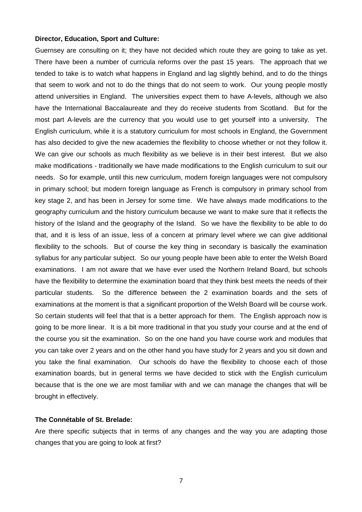Guernsey are consulting on it; they have not decided which route they are going to take as yet. There have been a number of curricula reforms over the past 15 years. The approach that we tended to take is to watch what happens in England and lag slightly behind, and to do the things that seem to work and not to do the things that do not seem to work. Our young people mostly attend universities in England. The universities expect them to have A-levels, although we also have the International Baccalaureate and they do receive students from Scotland. But for the most part A-levels are the currency that you would use to get yourself into a university. The English curriculum, while it is a statutory curriculum for most schools in England, the Government has also decided to give the new academies the flexibility to choose whether or not they follow it. We can give our schools as much flexibility as we believe is in their best interest. But we also make modifications - traditionally we have made modifications to the English curriculum to suit our needs. So for example, until this new curriculum, modern foreign languages were not compulsory in primary school; but modern foreign language as French is compulsory in primary school from key stage 2, and has been in Jersey for some time. We have always made modifications to the geography curriculum and the history curriculum because we want to make sure that it reflects the history of the Island and the geography of the Island. So we have the flexibility to be able to do that, and it is less of an issue, less of a concern at primary level where we can give additional flexibility to the schools. But of course the key thing in secondary is basically the examination syllabus for any particular subject. So our young people have been able to enter the Welsh Board examinations. I am not aware that we have ever used the Northern Ireland Board, but schools have the flexibility to determine the examination board that they think best meets the needs of their particular students. So the difference between the 2 examination boards and the sets of examinations at the moment is that a significant proportion of the Welsh Board will be course work. So certain students will feel that that is a better approach for them. The English approach now is going to be more linear. It is a bit more traditional in that you study your course and at the end of the course you sit the examination. So on the one hand you have course work and modules that you can take over 2 years and on the other hand you have study for 2 years and you sit down and you take the final examination. Our schools do have the flexibility to choose each of those examination boards, but in general terms we have decided to stick with the English curriculum because that is the one we are most familiar with and we can manage the changes that will be brought in effectively.

#### **The Connétable of St. Brelade:**

Are there specific subjects that in terms of any changes and the way you are adapting those changes that you are going to look at first?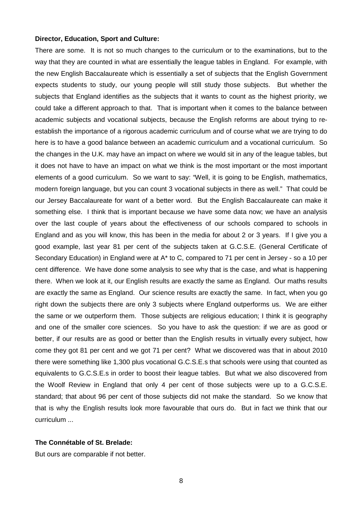There are some. It is not so much changes to the curriculum or to the examinations, but to the way that they are counted in what are essentially the league tables in England. For example, with the new English Baccalaureate which is essentially a set of subjects that the English Government expects students to study, our young people will still study those subjects. But whether the subjects that England identifies as the subjects that it wants to count as the highest priority, we could take a different approach to that. That is important when it comes to the balance between academic subjects and vocational subjects, because the English reforms are about trying to reestablish the importance of a rigorous academic curriculum and of course what we are trying to do here is to have a good balance between an academic curriculum and a vocational curriculum. So the changes in the U.K. may have an impact on where we would sit in any of the league tables, but it does not have to have an impact on what we think is the most important or the most important elements of a good curriculum. So we want to say: "Well, it is going to be English, mathematics, modern foreign language, but you can count 3 vocational subjects in there as well." That could be our Jersey Baccalaureate for want of a better word. But the English Baccalaureate can make it something else. I think that is important because we have some data now; we have an analysis over the last couple of years about the effectiveness of our schools compared to schools in England and as you will know, this has been in the media for about 2 or 3 years. If I give you a good example, last year 81 per cent of the subjects taken at G.C.S.E. (General Certificate of Secondary Education) in England were at A\* to C, compared to 71 per cent in Jersey - so a 10 per cent difference. We have done some analysis to see why that is the case, and what is happening there. When we look at it, our English results are exactly the same as England. Our maths results are exactly the same as England. Our science results are exactly the same. In fact, when you go right down the subjects there are only 3 subjects where England outperforms us. We are either the same or we outperform them. Those subjects are religious education; I think it is geography and one of the smaller core sciences. So you have to ask the question: if we are as good or better, if our results are as good or better than the English results in virtually every subject, how come they got 81 per cent and we got 71 per cent? What we discovered was that in about 2010 there were something like 1,300 plus vocational G.C.S.E.s that schools were using that counted as equivalents to G.C.S.E.s in order to boost their league tables. But what we also discovered from the Woolf Review in England that only 4 per cent of those subjects were up to a G.C.S.E. standard; that about 96 per cent of those subjects did not make the standard. So we know that that is why the English results look more favourable that ours do. But in fact we think that our curriculum ...

#### **The Connétable of St. Brelade:**

But ours are comparable if not better.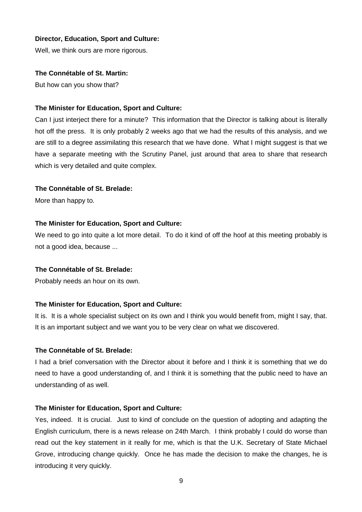Well, we think ours are more rigorous.

## **The Connétable of St. Martin:**

But how can you show that?

## **The Minister for Education, Sport and Culture:**

Can I just interject there for a minute? This information that the Director is talking about is literally hot off the press. It is only probably 2 weeks ago that we had the results of this analysis, and we are still to a degree assimilating this research that we have done. What I might suggest is that we have a separate meeting with the Scrutiny Panel, just around that area to share that research which is very detailed and quite complex.

## **The Connétable of St. Brelade:**

More than happy to.

## **The Minister for Education, Sport and Culture:**

We need to go into quite a lot more detail. To do it kind of off the hoof at this meeting probably is not a good idea, because ...

#### **The Connétable of St. Brelade:**

Probably needs an hour on its own.

#### **The Minister for Education, Sport and Culture:**

It is. It is a whole specialist subject on its own and I think you would benefit from, might I say, that. It is an important subject and we want you to be very clear on what we discovered.

## **The Connétable of St. Brelade:**

I had a brief conversation with the Director about it before and I think it is something that we do need to have a good understanding of, and I think it is something that the public need to have an understanding of as well.

#### **The Minister for Education, Sport and Culture:**

Yes, indeed. It is crucial. Just to kind of conclude on the question of adopting and adapting the English curriculum, there is a news release on 24th March. I think probably I could do worse than read out the key statement in it really for me, which is that the U.K. Secretary of State Michael Grove, introducing change quickly. Once he has made the decision to make the changes, he is introducing it very quickly.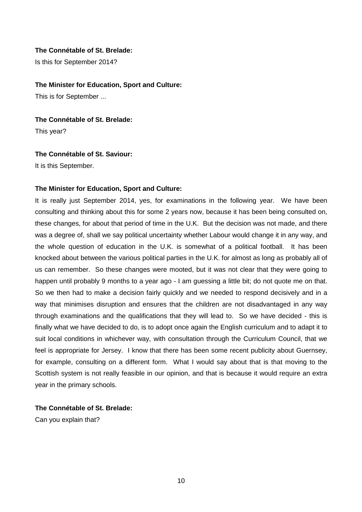## **The Connétable of St. Brelade:**

Is this for September 2014?

#### **The Minister for Education, Sport and Culture:**

This is for September ...

#### **The Connétable of St. Brelade:**

This year?

#### **The Connétable of St. Saviour:**

It is this September.

#### **The Minister for Education, Sport and Culture:**

It is really just September 2014, yes, for examinations in the following year. We have been consulting and thinking about this for some 2 years now, because it has been being consulted on, these changes, for about that period of time in the U.K. But the decision was not made, and there was a degree of, shall we say political uncertainty whether Labour would change it in any way, and the whole question of education in the U.K. is somewhat of a political football. It has been knocked about between the various political parties in the U.K. for almost as long as probably all of us can remember. So these changes were mooted, but it was not clear that they were going to happen until probably 9 months to a year ago - I am guessing a little bit; do not quote me on that. So we then had to make a decision fairly quickly and we needed to respond decisively and in a way that minimises disruption and ensures that the children are not disadvantaged in any way through examinations and the qualifications that they will lead to. So we have decided - this is finally what we have decided to do, is to adopt once again the English curriculum and to adapt it to suit local conditions in whichever way, with consultation through the Curriculum Council, that we feel is appropriate for Jersey. I know that there has been some recent publicity about Guernsey, for example, consulting on a different form. What I would say about that is that moving to the Scottish system is not really feasible in our opinion, and that is because it would require an extra year in the primary schools.

#### **The Connétable of St. Brelade:**

Can you explain that?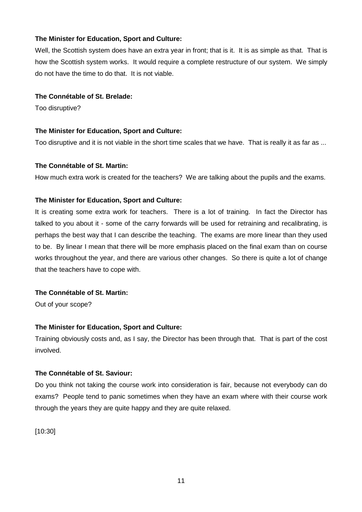## **The Minister for Education, Sport and Culture:**

Well, the Scottish system does have an extra year in front; that is it. It is as simple as that. That is how the Scottish system works. It would require a complete restructure of our system. We simply do not have the time to do that. It is not viable.

## **The Connétable of St. Brelade:**

Too disruptive?

## **The Minister for Education, Sport and Culture:**

Too disruptive and it is not viable in the short time scales that we have. That is really it as far as ...

## **The Connétable of St. Martin:**

How much extra work is created for the teachers? We are talking about the pupils and the exams.

## **The Minister for Education, Sport and Culture:**

It is creating some extra work for teachers. There is a lot of training. In fact the Director has talked to you about it - some of the carry forwards will be used for retraining and recalibrating, is perhaps the best way that I can describe the teaching. The exams are more linear than they used to be. By linear I mean that there will be more emphasis placed on the final exam than on course works throughout the year, and there are various other changes. So there is quite a lot of change that the teachers have to cope with.

## **The Connétable of St. Martin:**

Out of your scope?

## **The Minister for Education, Sport and Culture:**

Training obviously costs and, as I say, the Director has been through that. That is part of the cost involved.

## **The Connétable of St. Saviour:**

Do you think not taking the course work into consideration is fair, because not everybody can do exams? People tend to panic sometimes when they have an exam where with their course work through the years they are quite happy and they are quite relaxed.

[10:30]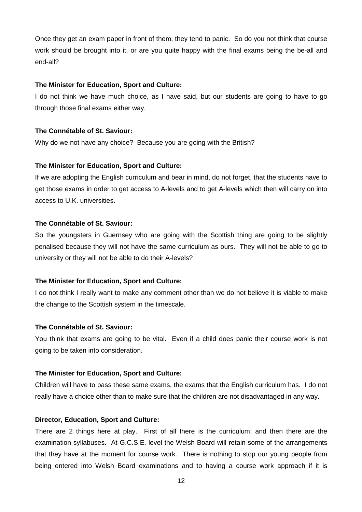Once they get an exam paper in front of them, they tend to panic. So do you not think that course work should be brought into it, or are you quite happy with the final exams being the be-all and end-all?

#### **The Minister for Education, Sport and Culture:**

I do not think we have much choice, as I have said, but our students are going to have to go through those final exams either way.

## **The Connétable of St. Saviour:**

Why do we not have any choice? Because you are going with the British?

### **The Minister for Education, Sport and Culture:**

If we are adopting the English curriculum and bear in mind, do not forget, that the students have to get those exams in order to get access to A-levels and to get A-levels which then will carry on into access to U.K. universities.

#### **The Connétable of St. Saviour:**

So the youngsters in Guernsey who are going with the Scottish thing are going to be slightly penalised because they will not have the same curriculum as ours. They will not be able to go to university or they will not be able to do their A-levels?

#### **The Minister for Education, Sport and Culture:**

I do not think I really want to make any comment other than we do not believe it is viable to make the change to the Scottish system in the timescale.

#### **The Connétable of St. Saviour:**

You think that exams are going to be vital. Even if a child does panic their course work is not going to be taken into consideration.

#### **The Minister for Education, Sport and Culture:**

Children will have to pass these same exams, the exams that the English curriculum has. I do not really have a choice other than to make sure that the children are not disadvantaged in any way.

#### **Director, Education, Sport and Culture:**

There are 2 things here at play. First of all there is the curriculum; and then there are the examination syllabuses. At G.C.S.E. level the Welsh Board will retain some of the arrangements that they have at the moment for course work. There is nothing to stop our young people from being entered into Welsh Board examinations and to having a course work approach if it is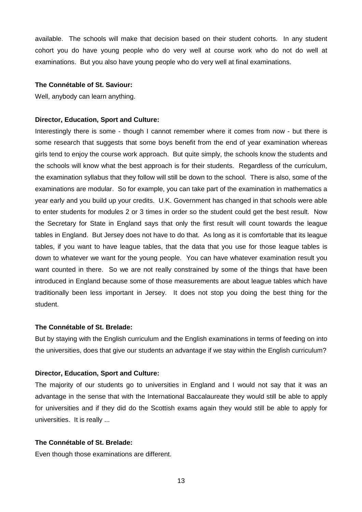available. The schools will make that decision based on their student cohorts. In any student cohort you do have young people who do very well at course work who do not do well at examinations. But you also have young people who do very well at final examinations.

## **The Connétable of St. Saviour:**

Well, anybody can learn anything.

#### **Director, Education, Sport and Culture:**

Interestingly there is some - though I cannot remember where it comes from now - but there is some research that suggests that some boys benefit from the end of year examination whereas girls tend to enjoy the course work approach. But quite simply, the schools know the students and the schools will know what the best approach is for their students. Regardless of the curriculum, the examination syllabus that they follow will still be down to the school. There is also, some of the examinations are modular. So for example, you can take part of the examination in mathematics a year early and you build up your credits. U.K. Government has changed in that schools were able to enter students for modules 2 or 3 times in order so the student could get the best result. Now the Secretary for State in England says that only the first result will count towards the league tables in England. But Jersey does not have to do that. As long as it is comfortable that its league tables, if you want to have league tables, that the data that you use for those league tables is down to whatever we want for the young people. You can have whatever examination result you want counted in there. So we are not really constrained by some of the things that have been introduced in England because some of those measurements are about league tables which have traditionally been less important in Jersey. It does not stop you doing the best thing for the student.

#### **The Connétable of St. Brelade:**

But by staying with the English curriculum and the English examinations in terms of feeding on into the universities, does that give our students an advantage if we stay within the English curriculum?

#### **Director, Education, Sport and Culture:**

The majority of our students go to universities in England and I would not say that it was an advantage in the sense that with the International Baccalaureate they would still be able to apply for universities and if they did do the Scottish exams again they would still be able to apply for universities. It is really ...

## **The Connétable of St. Brelade:**

Even though those examinations are different.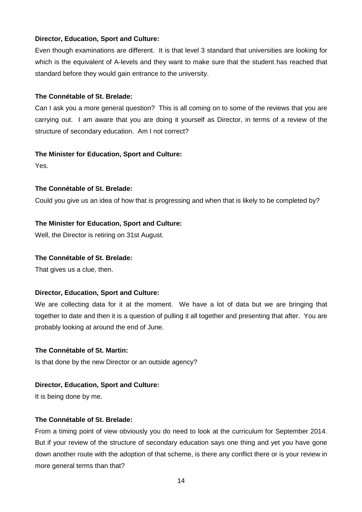Even though examinations are different. It is that level 3 standard that universities are looking for which is the equivalent of A-levels and they want to make sure that the student has reached that standard before they would gain entrance to the university.

## **The Connétable of St. Brelade:**

Can I ask you a more general question? This is all coming on to some of the reviews that you are carrying out. I am aware that you are doing it yourself as Director, in terms of a review of the structure of secondary education. Am I not correct?

## **The Minister for Education, Sport and Culture:**

Yes.

## **The Connétable of St. Brelade:**

Could you give us an idea of how that is progressing and when that is likely to be completed by?

## **The Minister for Education, Sport and Culture:**

Well, the Director is retiring on 31st August.

## **The Connétable of St. Brelade:**

That gives us a clue, then.

## **Director, Education, Sport and Culture:**

We are collecting data for it at the moment. We have a lot of data but we are bringing that together to date and then it is a question of pulling it all together and presenting that after. You are probably looking at around the end of June.

## **The Connétable of St. Martin:**

Is that done by the new Director or an outside agency?

## **Director, Education, Sport and Culture:**

It is being done by me.

## **The Connétable of St. Brelade:**

From a timing point of view obviously you do need to look at the curriculum for September 2014. But if your review of the structure of secondary education says one thing and yet you have gone down another route with the adoption of that scheme, is there any conflict there or is your review in more general terms than that?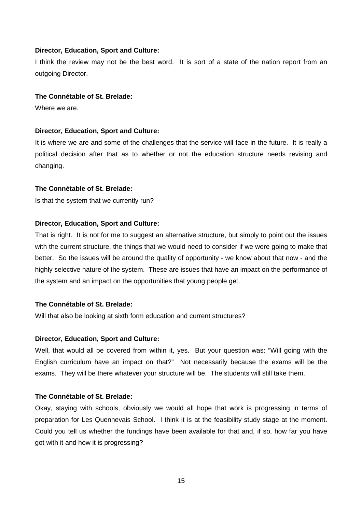I think the review may not be the best word. It is sort of a state of the nation report from an outgoing Director.

#### **The Connétable of St. Brelade:**

Where we are

#### **Director, Education, Sport and Culture:**

It is where we are and some of the challenges that the service will face in the future. It is really a political decision after that as to whether or not the education structure needs revising and changing.

#### **The Connétable of St. Brelade:**

Is that the system that we currently run?

#### **Director, Education, Sport and Culture:**

That is right. It is not for me to suggest an alternative structure, but simply to point out the issues with the current structure, the things that we would need to consider if we were going to make that better. So the issues will be around the quality of opportunity - we know about that now - and the highly selective nature of the system. These are issues that have an impact on the performance of the system and an impact on the opportunities that young people get.

## **The Connétable of St. Brelade:**

Will that also be looking at sixth form education and current structures?

#### **Director, Education, Sport and Culture:**

Well, that would all be covered from within it, yes. But your question was: "Will going with the English curriculum have an impact on that?" Not necessarily because the exams will be the exams. They will be there whatever your structure will be. The students will still take them.

## **The Connétable of St. Brelade:**

Okay, staying with schools, obviously we would all hope that work is progressing in terms of preparation for Les Quennevais School. I think it is at the feasibility study stage at the moment. Could you tell us whether the fundings have been available for that and, if so, how far you have got with it and how it is progressing?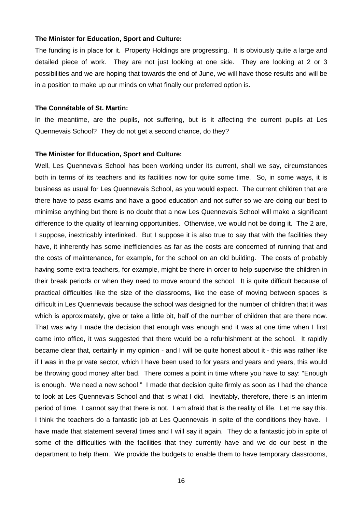#### **The Minister for Education, Sport and Culture:**

The funding is in place for it. Property Holdings are progressing. It is obviously quite a large and detailed piece of work. They are not just looking at one side. They are looking at 2 or 3 possibilities and we are hoping that towards the end of June, we will have those results and will be in a position to make up our minds on what finally our preferred option is.

#### **The Connétable of St. Martin:**

In the meantime, are the pupils, not suffering, but is it affecting the current pupils at Les Quennevais School? They do not get a second chance, do they?

#### **The Minister for Education, Sport and Culture:**

Well, Les Quennevais School has been working under its current, shall we say, circumstances both in terms of its teachers and its facilities now for quite some time. So, in some ways, it is business as usual for Les Quennevais School, as you would expect. The current children that are there have to pass exams and have a good education and not suffer so we are doing our best to minimise anything but there is no doubt that a new Les Quennevais School will make a significant difference to the quality of learning opportunities. Otherwise, we would not be doing it. The 2 are, I suppose, inextricably interlinked. But I suppose it is also true to say that with the facilities they have, it inherently has some inefficiencies as far as the costs are concerned of running that and the costs of maintenance, for example, for the school on an old building. The costs of probably having some extra teachers, for example, might be there in order to help supervise the children in their break periods or when they need to move around the school. It is quite difficult because of practical difficulties like the size of the classrooms, like the ease of moving between spaces is difficult in Les Quennevais because the school was designed for the number of children that it was which is approximately, give or take a little bit, half of the number of children that are there now. That was why I made the decision that enough was enough and it was at one time when I first came into office, it was suggested that there would be a refurbishment at the school. It rapidly became clear that, certainly in my opinion - and I will be quite honest about it - this was rather like if I was in the private sector, which I have been used to for years and years and years, this would be throwing good money after bad. There comes a point in time where you have to say: "Enough is enough. We need a new school." I made that decision quite firmly as soon as I had the chance to look at Les Quennevais School and that is what I did. Inevitably, therefore, there is an interim period of time. I cannot say that there is not. I am afraid that is the reality of life. Let me say this. I think the teachers do a fantastic job at Les Quennevais in spite of the conditions they have. I have made that statement several times and I will say it again. They do a fantastic job in spite of some of the difficulties with the facilities that they currently have and we do our best in the department to help them. We provide the budgets to enable them to have temporary classrooms,

16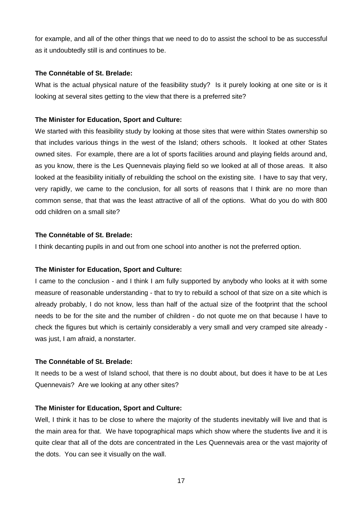for example, and all of the other things that we need to do to assist the school to be as successful as it undoubtedly still is and continues to be.

## **The Connétable of St. Brelade:**

What is the actual physical nature of the feasibility study? Is it purely looking at one site or is it looking at several sites getting to the view that there is a preferred site?

## **The Minister for Education, Sport and Culture:**

We started with this feasibility study by looking at those sites that were within States ownership so that includes various things in the west of the Island; others schools. It looked at other States owned sites. For example, there are a lot of sports facilities around and playing fields around and, as you know, there is the Les Quennevais playing field so we looked at all of those areas. It also looked at the feasibility initially of rebuilding the school on the existing site. I have to say that very, very rapidly, we came to the conclusion, for all sorts of reasons that I think are no more than common sense, that that was the least attractive of all of the options. What do you do with 800 odd children on a small site?

## **The Connétable of St. Brelade:**

I think decanting pupils in and out from one school into another is not the preferred option.

## **The Minister for Education, Sport and Culture:**

I came to the conclusion - and I think I am fully supported by anybody who looks at it with some measure of reasonable understanding - that to try to rebuild a school of that size on a site which is already probably, I do not know, less than half of the actual size of the footprint that the school needs to be for the site and the number of children - do not quote me on that because I have to check the figures but which is certainly considerably a very small and very cramped site already was just, I am afraid, a nonstarter.

#### **The Connétable of St. Brelade:**

It needs to be a west of Island school, that there is no doubt about, but does it have to be at Les Quennevais? Are we looking at any other sites?

#### **The Minister for Education, Sport and Culture:**

Well, I think it has to be close to where the majority of the students inevitably will live and that is the main area for that. We have topographical maps which show where the students live and it is quite clear that all of the dots are concentrated in the Les Quennevais area or the vast majority of the dots. You can see it visually on the wall.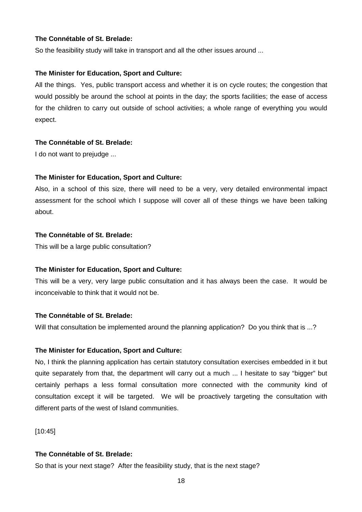## **The Connétable of St. Brelade:**

So the feasibility study will take in transport and all the other issues around ...

#### **The Minister for Education, Sport and Culture:**

All the things. Yes, public transport access and whether it is on cycle routes; the congestion that would possibly be around the school at points in the day; the sports facilities; the ease of access for the children to carry out outside of school activities; a whole range of everything you would expect.

## **The Connétable of St. Brelade:**

I do not want to prejudge ...

## **The Minister for Education, Sport and Culture:**

Also, in a school of this size, there will need to be a very, very detailed environmental impact assessment for the school which I suppose will cover all of these things we have been talking about.

## **The Connétable of St. Brelade:**

This will be a large public consultation?

## **The Minister for Education, Sport and Culture:**

This will be a very, very large public consultation and it has always been the case. It would be inconceivable to think that it would not be.

## **The Connétable of St. Brelade:**

Will that consultation be implemented around the planning application? Do you think that is ...?

## **The Minister for Education, Sport and Culture:**

No, I think the planning application has certain statutory consultation exercises embedded in it but quite separately from that, the department will carry out a much ... I hesitate to say "bigger" but certainly perhaps a less formal consultation more connected with the community kind of consultation except it will be targeted. We will be proactively targeting the consultation with different parts of the west of Island communities.

[10:45]

## **The Connétable of St. Brelade:**

So that is your next stage? After the feasibility study, that is the next stage?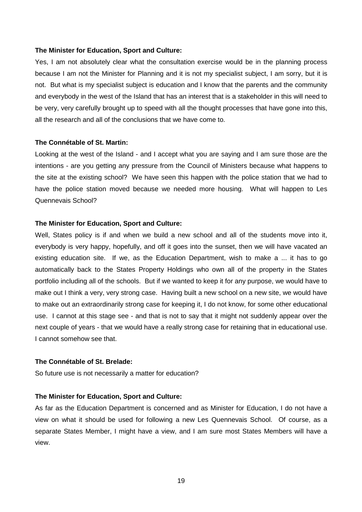#### **The Minister for Education, Sport and Culture:**

Yes, I am not absolutely clear what the consultation exercise would be in the planning process because I am not the Minister for Planning and it is not my specialist subject, I am sorry, but it is not. But what is my specialist subject is education and I know that the parents and the community and everybody in the west of the Island that has an interest that is a stakeholder in this will need to be very, very carefully brought up to speed with all the thought processes that have gone into this, all the research and all of the conclusions that we have come to.

#### **The Connétable of St. Martin:**

Looking at the west of the Island - and I accept what you are saying and I am sure those are the intentions - are you getting any pressure from the Council of Ministers because what happens to the site at the existing school? We have seen this happen with the police station that we had to have the police station moved because we needed more housing. What will happen to Les Quennevais School?

## **The Minister for Education, Sport and Culture:**

Well, States policy is if and when we build a new school and all of the students move into it, everybody is very happy, hopefully, and off it goes into the sunset, then we will have vacated an existing education site. If we, as the Education Department, wish to make a ... it has to go automatically back to the States Property Holdings who own all of the property in the States portfolio including all of the schools. But if we wanted to keep it for any purpose, we would have to make out I think a very, very strong case. Having built a new school on a new site, we would have to make out an extraordinarily strong case for keeping it, I do not know, for some other educational use. I cannot at this stage see - and that is not to say that it might not suddenly appear over the next couple of years - that we would have a really strong case for retaining that in educational use. I cannot somehow see that.

#### **The Connétable of St. Brelade:**

So future use is not necessarily a matter for education?

## **The Minister for Education, Sport and Culture:**

As far as the Education Department is concerned and as Minister for Education, I do not have a view on what it should be used for following a new Les Quennevais School. Of course, as a separate States Member, I might have a view, and I am sure most States Members will have a view.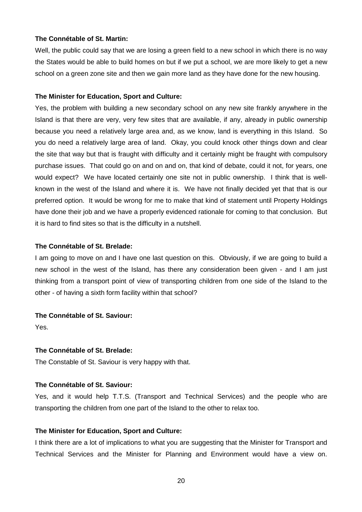## **The Connétable of St. Martin:**

Well, the public could say that we are losing a green field to a new school in which there is no way the States would be able to build homes on but if we put a school, we are more likely to get a new school on a green zone site and then we gain more land as they have done for the new housing.

#### **The Minister for Education, Sport and Culture:**

Yes, the problem with building a new secondary school on any new site frankly anywhere in the Island is that there are very, very few sites that are available, if any, already in public ownership because you need a relatively large area and, as we know, land is everything in this Island. So you do need a relatively large area of land. Okay, you could knock other things down and clear the site that way but that is fraught with difficulty and it certainly might be fraught with compulsory purchase issues. That could go on and on and on, that kind of debate, could it not, for years, one would expect? We have located certainly one site not in public ownership. I think that is wellknown in the west of the Island and where it is. We have not finally decided yet that that is our preferred option. It would be wrong for me to make that kind of statement until Property Holdings have done their job and we have a properly evidenced rationale for coming to that conclusion. But it is hard to find sites so that is the difficulty in a nutshell.

## **The Connétable of St. Brelade:**

I am going to move on and I have one last question on this. Obviously, if we are going to build a new school in the west of the Island, has there any consideration been given - and I am just thinking from a transport point of view of transporting children from one side of the Island to the other - of having a sixth form facility within that school?

## **The Connétable of St. Saviour:**

Yes.

## **The Connétable of St. Brelade:**

The Constable of St. Saviour is very happy with that.

## **The Connétable of St. Saviour:**

Yes, and it would help T.T.S. (Transport and Technical Services) and the people who are transporting the children from one part of the Island to the other to relax too.

## **The Minister for Education, Sport and Culture:**

I think there are a lot of implications to what you are suggesting that the Minister for Transport and Technical Services and the Minister for Planning and Environment would have a view on.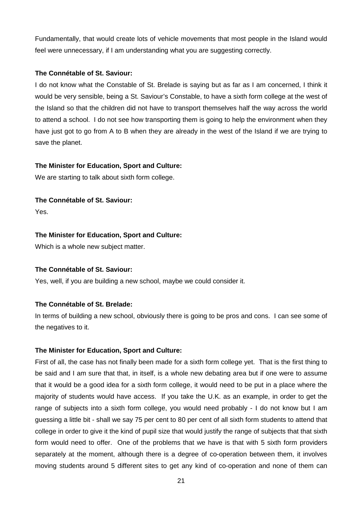Fundamentally, that would create lots of vehicle movements that most people in the Island would feel were unnecessary, if I am understanding what you are suggesting correctly.

## **The Connétable of St. Saviour:**

I do not know what the Constable of St. Brelade is saying but as far as I am concerned, I think it would be very sensible, being a St. Saviour's Constable, to have a sixth form college at the west of the Island so that the children did not have to transport themselves half the way across the world to attend a school. I do not see how transporting them is going to help the environment when they have just got to go from A to B when they are already in the west of the Island if we are trying to save the planet.

## **The Minister for Education, Sport and Culture:**

We are starting to talk about sixth form college.

## **The Connétable of St. Saviour:**

Yes.

## **The Minister for Education, Sport and Culture:**

Which is a whole new subject matter.

#### **The Connétable of St. Saviour:**

Yes, well, if you are building a new school, maybe we could consider it.

## **The Connétable of St. Brelade:**

In terms of building a new school, obviously there is going to be pros and cons. I can see some of the negatives to it.

#### **The Minister for Education, Sport and Culture:**

First of all, the case has not finally been made for a sixth form college yet. That is the first thing to be said and I am sure that that, in itself, is a whole new debating area but if one were to assume that it would be a good idea for a sixth form college, it would need to be put in a place where the majority of students would have access. If you take the U.K. as an example, in order to get the range of subjects into a sixth form college, you would need probably - I do not know but I am guessing a little bit - shall we say 75 per cent to 80 per cent of all sixth form students to attend that college in order to give it the kind of pupil size that would justify the range of subjects that that sixth form would need to offer. One of the problems that we have is that with 5 sixth form providers separately at the moment, although there is a degree of co-operation between them, it involves moving students around 5 different sites to get any kind of co-operation and none of them can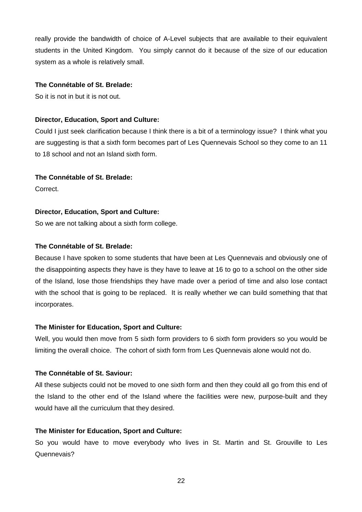really provide the bandwidth of choice of A-Level subjects that are available to their equivalent students in the United Kingdom. You simply cannot do it because of the size of our education system as a whole is relatively small.

## **The Connétable of St. Brelade:**

So it is not in but it is not out.

## **Director, Education, Sport and Culture:**

Could I just seek clarification because I think there is a bit of a terminology issue? I think what you are suggesting is that a sixth form becomes part of Les Quennevais School so they come to an 11 to 18 school and not an Island sixth form.

## **The Connétable of St. Brelade:**

Correct.

## **Director, Education, Sport and Culture:**

So we are not talking about a sixth form college.

## **The Connétable of St. Brelade:**

Because I have spoken to some students that have been at Les Quennevais and obviously one of the disappointing aspects they have is they have to leave at 16 to go to a school on the other side of the Island, lose those friendships they have made over a period of time and also lose contact with the school that is going to be replaced. It is really whether we can build something that that incorporates.

## **The Minister for Education, Sport and Culture:**

Well, you would then move from 5 sixth form providers to 6 sixth form providers so you would be limiting the overall choice. The cohort of sixth form from Les Quennevais alone would not do.

## **The Connétable of St. Saviour:**

All these subjects could not be moved to one sixth form and then they could all go from this end of the Island to the other end of the Island where the facilities were new, purpose-built and they would have all the curriculum that they desired.

## **The Minister for Education, Sport and Culture:**

So you would have to move everybody who lives in St. Martin and St. Grouville to Les Quennevais?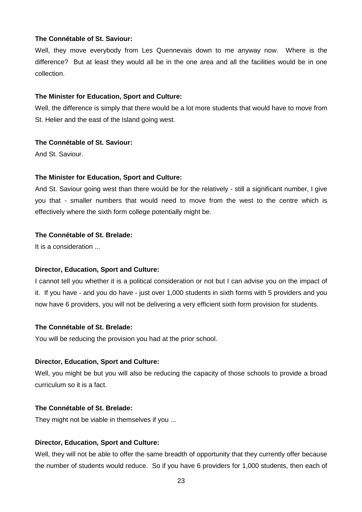### **The Connétable of St. Saviour:**

Well, they move everybody from Les Quennevais down to me anyway now. Where is the difference? But at least they would all be in the one area and all the facilities would be in one collection.

#### **The Minister for Education, Sport and Culture:**

Well, the difference is simply that there would be a lot more students that would have to move from St. Helier and the east of the Island going west.

## **The Connétable of St. Saviour:**

And St. Saviour.

## **The Minister for Education, Sport and Culture:**

And St. Saviour going west than there would be for the relatively - still a significant number, I give you that - smaller numbers that would need to move from the west to the centre which is effectively where the sixth form college potentially might be.

## **The Connétable of St. Brelade:**

It is a consideration ...

## **Director, Education, Sport and Culture:**

I cannot tell you whether it is a political consideration or not but I can advise you on the impact of it. If you have - and you do have - just over 1,000 students in sixth forms with 5 providers and you now have 6 providers, you will not be delivering a very efficient sixth form provision for students.

## **The Connétable of St. Brelade:**

You will be reducing the provision you had at the prior school.

#### **Director, Education, Sport and Culture:**

Well, you might be but you will also be reducing the capacity of those schools to provide a broad curriculum so it is a fact.

#### **The Connétable of St. Brelade:**

They might not be viable in themselves if you ...

## **Director, Education, Sport and Culture:**

Well, they will not be able to offer the same breadth of opportunity that they currently offer because the number of students would reduce. So if you have 6 providers for 1,000 students, then each of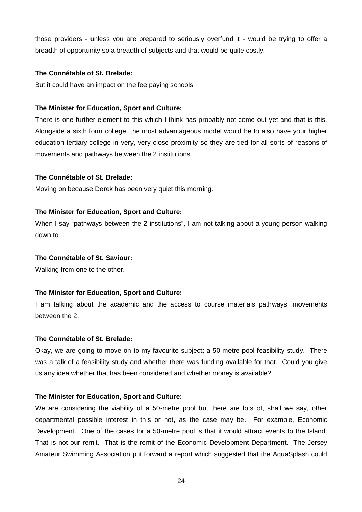those providers - unless you are prepared to seriously overfund it - would be trying to offer a breadth of opportunity so a breadth of subjects and that would be quite costly.

## **The Connétable of St. Brelade:**

But it could have an impact on the fee paying schools.

## **The Minister for Education, Sport and Culture:**

There is one further element to this which I think has probably not come out yet and that is this. Alongside a sixth form college, the most advantageous model would be to also have your higher education tertiary college in very, very close proximity so they are tied for all sorts of reasons of movements and pathways between the 2 institutions.

## **The Connétable of St. Brelade:**

Moving on because Derek has been very quiet this morning.

## **The Minister for Education, Sport and Culture:**

When I say "pathways between the 2 institutions". I am not talking about a young person walking down to ...

#### **The Connétable of St. Saviour:**

Walking from one to the other.

## **The Minister for Education, Sport and Culture:**

I am talking about the academic and the access to course materials pathways; movements between the 2.

#### **The Connétable of St. Brelade:**

Okay, we are going to move on to my favourite subject; a 50-metre pool feasibility study. There was a talk of a feasibility study and whether there was funding available for that. Could you give us any idea whether that has been considered and whether money is available?

#### **The Minister for Education, Sport and Culture:**

We are considering the viability of a 50-metre pool but there are lots of, shall we say, other departmental possible interest in this or not, as the case may be. For example, Economic Development. One of the cases for a 50-metre pool is that it would attract events to the Island. That is not our remit. That is the remit of the Economic Development Department. The Jersey Amateur Swimming Association put forward a report which suggested that the AquaSplash could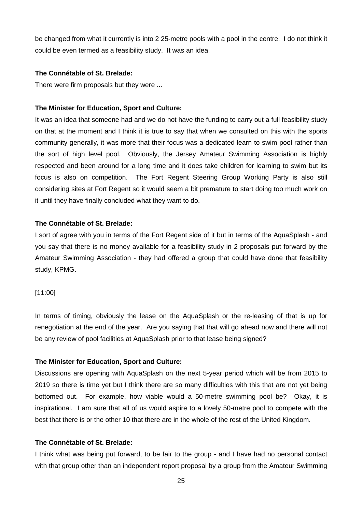be changed from what it currently is into 2 25-metre pools with a pool in the centre. I do not think it could be even termed as a feasibility study. It was an idea.

#### **The Connétable of St. Brelade:**

There were firm proposals but they were ...

#### **The Minister for Education, Sport and Culture:**

It was an idea that someone had and we do not have the funding to carry out a full feasibility study on that at the moment and I think it is true to say that when we consulted on this with the sports community generally, it was more that their focus was a dedicated learn to swim pool rather than the sort of high level pool. Obviously, the Jersey Amateur Swimming Association is highly respected and been around for a long time and it does take children for learning to swim but its focus is also on competition. The Fort Regent Steering Group Working Party is also still considering sites at Fort Regent so it would seem a bit premature to start doing too much work on it until they have finally concluded what they want to do.

#### **The Connétable of St. Brelade:**

I sort of agree with you in terms of the Fort Regent side of it but in terms of the AquaSplash - and you say that there is no money available for a feasibility study in 2 proposals put forward by the Amateur Swimming Association - they had offered a group that could have done that feasibility study, KPMG.

## [11:00]

In terms of timing, obviously the lease on the AquaSplash or the re-leasing of that is up for renegotiation at the end of the year. Are you saying that that will go ahead now and there will not be any review of pool facilities at AquaSplash prior to that lease being signed?

#### **The Minister for Education, Sport and Culture:**

Discussions are opening with AquaSplash on the next 5-year period which will be from 2015 to 2019 so there is time yet but I think there are so many difficulties with this that are not yet being bottomed out. For example, how viable would a 50-metre swimming pool be? Okay, it is inspirational. I am sure that all of us would aspire to a lovely 50-metre pool to compete with the best that there is or the other 10 that there are in the whole of the rest of the United Kingdom.

## **The Connétable of St. Brelade:**

I think what was being put forward, to be fair to the group - and I have had no personal contact with that group other than an independent report proposal by a group from the Amateur Swimming

25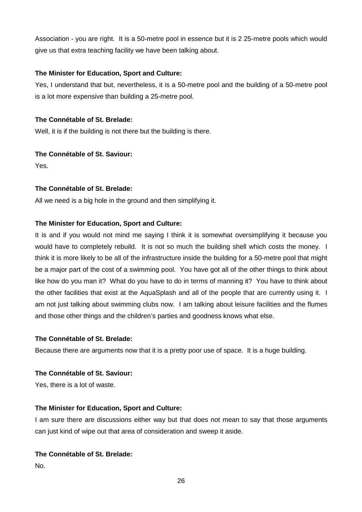Association - you are right. It is a 50-metre pool in essence but it is 2 25-metre pools which would give us that extra teaching facility we have been talking about.

## **The Minister for Education, Sport and Culture:**

Yes, I understand that but, nevertheless, it is a 50-metre pool and the building of a 50-metre pool is a lot more expensive than building a 25-metre pool.

## **The Connétable of St. Brelade:**

Well, it is if the building is not there but the building is there.

## **The Connétable of St. Saviour:**

Yes.

## **The Connétable of St. Brelade:**

All we need is a big hole in the ground and then simplifying it.

## **The Minister for Education, Sport and Culture:**

It is and if you would not mind me saying I think it is somewhat oversimplifying it because you would have to completely rebuild. It is not so much the building shell which costs the money. I think it is more likely to be all of the infrastructure inside the building for a 50-metre pool that might be a major part of the cost of a swimming pool. You have got all of the other things to think about like how do you man it? What do you have to do in terms of manning it? You have to think about the other facilities that exist at the AquaSplash and all of the people that are currently using it. I am not just talking about swimming clubs now. I am talking about leisure facilities and the flumes and those other things and the children's parties and goodness knows what else.

## **The Connétable of St. Brelade:**

Because there are arguments now that it is a pretty poor use of space. It is a huge building.

## **The Connétable of St. Saviour:**

Yes, there is a lot of waste.

## **The Minister for Education, Sport and Culture:**

I am sure there are discussions either way but that does not mean to say that those arguments can just kind of wipe out that area of consideration and sweep it aside.

## **The Connétable of St. Brelade:**

No.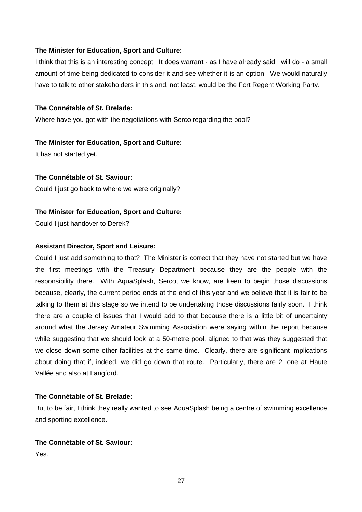#### **The Minister for Education, Sport and Culture:**

I think that this is an interesting concept. It does warrant - as I have already said I will do - a small amount of time being dedicated to consider it and see whether it is an option. We would naturally have to talk to other stakeholders in this and, not least, would be the Fort Regent Working Party.

## **The Connétable of St. Brelade:**

Where have you got with the negotiations with Serco regarding the pool?

**The Minister for Education, Sport and Culture:** It has not started yet.

## **The Connétable of St. Saviour:**

Could I just go back to where we were originally?

## **The Minister for Education, Sport and Culture:**

Could I just handover to Derek?

## **Assistant Director, Sport and Leisure:**

Could I just add something to that? The Minister is correct that they have not started but we have the first meetings with the Treasury Department because they are the people with the responsibility there. With AquaSplash, Serco, we know, are keen to begin those discussions because, clearly, the current period ends at the end of this year and we believe that it is fair to be talking to them at this stage so we intend to be undertaking those discussions fairly soon. I think there are a couple of issues that I would add to that because there is a little bit of uncertainty around what the Jersey Amateur Swimming Association were saying within the report because while suggesting that we should look at a 50-metre pool, aligned to that was they suggested that we close down some other facilities at the same time. Clearly, there are significant implications about doing that if, indeed, we did go down that route. Particularly, there are 2; one at Haute Vallée and also at Langford.

## **The Connétable of St. Brelade:**

But to be fair, I think they really wanted to see AquaSplash being a centre of swimming excellence and sporting excellence.

## **The Connétable of St. Saviour:**

Yes.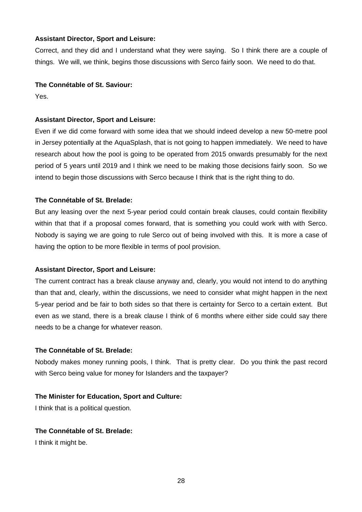## **Assistant Director, Sport and Leisure:**

Correct, and they did and I understand what they were saying. So I think there are a couple of things. We will, we think, begins those discussions with Serco fairly soon. We need to do that.

## **The Connétable of St. Saviour:**

Yes.

## **Assistant Director, Sport and Leisure:**

Even if we did come forward with some idea that we should indeed develop a new 50-metre pool in Jersey potentially at the AquaSplash, that is not going to happen immediately. We need to have research about how the pool is going to be operated from 2015 onwards presumably for the next period of 5 years until 2019 and I think we need to be making those decisions fairly soon. So we intend to begin those discussions with Serco because I think that is the right thing to do.

## **The Connétable of St. Brelade:**

But any leasing over the next 5-year period could contain break clauses, could contain flexibility within that that if a proposal comes forward, that is something you could work with with Serco. Nobody is saying we are going to rule Serco out of being involved with this. It is more a case of having the option to be more flexible in terms of pool provision.

## **Assistant Director, Sport and Leisure:**

The current contract has a break clause anyway and, clearly, you would not intend to do anything than that and, clearly, within the discussions, we need to consider what might happen in the next 5-year period and be fair to both sides so that there is certainty for Serco to a certain extent. But even as we stand, there is a break clause I think of 6 months where either side could say there needs to be a change for whatever reason.

## **The Connétable of St. Brelade:**

Nobody makes money running pools, I think. That is pretty clear. Do you think the past record with Serco being value for money for Islanders and the taxpayer?

## **The Minister for Education, Sport and Culture:**

I think that is a political question.

## **The Connétable of St. Brelade:**

I think it might be.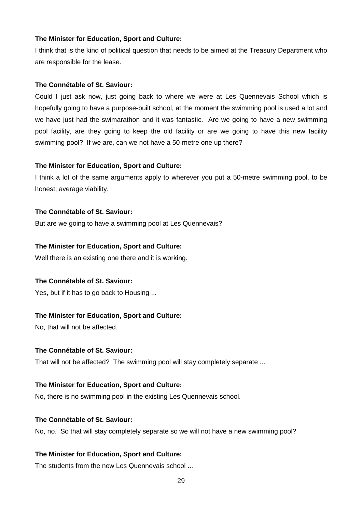## **The Minister for Education, Sport and Culture:**

I think that is the kind of political question that needs to be aimed at the Treasury Department who are responsible for the lease.

## **The Connétable of St. Saviour:**

Could I just ask now, just going back to where we were at Les Quennevais School which is hopefully going to have a purpose-built school, at the moment the swimming pool is used a lot and we have just had the swimarathon and it was fantastic. Are we going to have a new swimming pool facility, are they going to keep the old facility or are we going to have this new facility swimming pool? If we are, can we not have a 50-metre one up there?

## **The Minister for Education, Sport and Culture:**

I think a lot of the same arguments apply to wherever you put a 50-metre swimming pool, to be honest; average viability.

## **The Connétable of St. Saviour:**

But are we going to have a swimming pool at Les Quennevais?

## **The Minister for Education, Sport and Culture:**

Well there is an existing one there and it is working.

## **The Connétable of St. Saviour:**

Yes, but if it has to go back to Housing ...

## **The Minister for Education, Sport and Culture:**

No, that will not be affected.

## **The Connétable of St. Saviour:**

That will not be affected? The swimming pool will stay completely separate ...

#### **The Minister for Education, Sport and Culture:**

No, there is no swimming pool in the existing Les Quennevais school.

## **The Connétable of St. Saviour:**

No, no. So that will stay completely separate so we will not have a new swimming pool?

## **The Minister for Education, Sport and Culture:**

The students from the new Les Quennevais school ...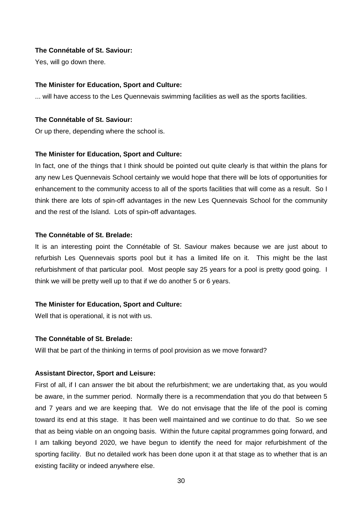## **The Connétable of St. Saviour:**

Yes, will go down there.

#### **The Minister for Education, Sport and Culture:**

... will have access to the Les Quennevais swimming facilities as well as the sports facilities.

#### **The Connétable of St. Saviour:**

Or up there, depending where the school is.

#### **The Minister for Education, Sport and Culture:**

In fact, one of the things that I think should be pointed out quite clearly is that within the plans for any new Les Quennevais School certainly we would hope that there will be lots of opportunities for enhancement to the community access to all of the sports facilities that will come as a result. So I think there are lots of spin-off advantages in the new Les Quennevais School for the community and the rest of the Island. Lots of spin-off advantages.

#### **The Connétable of St. Brelade:**

It is an interesting point the Connétable of St. Saviour makes because we are just about to refurbish Les Quennevais sports pool but it has a limited life on it. This might be the last refurbishment of that particular pool. Most people say 25 years for a pool is pretty good going. I think we will be pretty well up to that if we do another 5 or 6 years.

## **The Minister for Education, Sport and Culture:**

Well that is operational, it is not with us.

#### **The Connétable of St. Brelade:**

Will that be part of the thinking in terms of pool provision as we move forward?

#### **Assistant Director, Sport and Leisure:**

First of all, if I can answer the bit about the refurbishment; we are undertaking that, as you would be aware, in the summer period. Normally there is a recommendation that you do that between 5 and 7 years and we are keeping that. We do not envisage that the life of the pool is coming toward its end at this stage. It has been well maintained and we continue to do that. So we see that as being viable on an ongoing basis. Within the future capital programmes going forward, and I am talking beyond 2020, we have begun to identify the need for major refurbishment of the sporting facility. But no detailed work has been done upon it at that stage as to whether that is an existing facility or indeed anywhere else.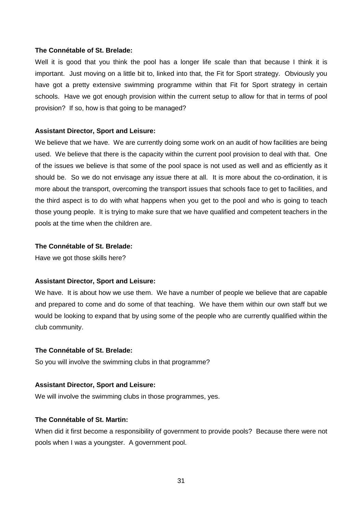## **The Connétable of St. Brelade:**

Well it is good that you think the pool has a longer life scale than that because I think it is important. Just moving on a little bit to, linked into that, the Fit for Sport strategy. Obviously you have got a pretty extensive swimming programme within that Fit for Sport strategy in certain schools. Have we got enough provision within the current setup to allow for that in terms of pool provision? If so, how is that going to be managed?

#### **Assistant Director, Sport and Leisure:**

We believe that we have. We are currently doing some work on an audit of how facilities are being used. We believe that there is the capacity within the current pool provision to deal with that. One of the issues we believe is that some of the pool space is not used as well and as efficiently as it should be. So we do not envisage any issue there at all. It is more about the co-ordination, it is more about the transport, overcoming the transport issues that schools face to get to facilities, and the third aspect is to do with what happens when you get to the pool and who is going to teach those young people. It is trying to make sure that we have qualified and competent teachers in the pools at the time when the children are.

#### **The Connétable of St. Brelade:**

Have we got those skills here?

#### **Assistant Director, Sport and Leisure:**

We have. It is about how we use them. We have a number of people we believe that are capable and prepared to come and do some of that teaching. We have them within our own staff but we would be looking to expand that by using some of the people who are currently qualified within the club community.

## **The Connétable of St. Brelade:**

So you will involve the swimming clubs in that programme?

#### **Assistant Director, Sport and Leisure:**

We will involve the swimming clubs in those programmes, yes.

## **The Connétable of St. Martin:**

When did it first become a responsibility of government to provide pools? Because there were not pools when I was a youngster. A government pool.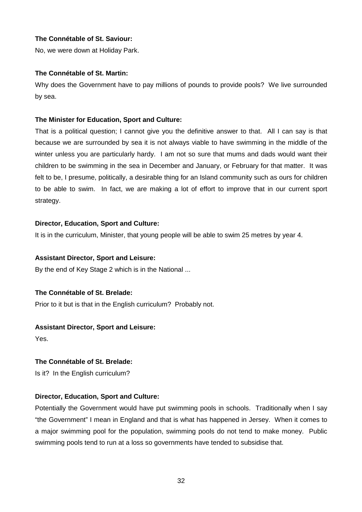## **The Connétable of St. Saviour:**

No, we were down at Holiday Park.

## **The Connétable of St. Martin:**

Why does the Government have to pay millions of pounds to provide pools? We live surrounded by sea.

## **The Minister for Education, Sport and Culture:**

That is a political question; I cannot give you the definitive answer to that. All I can say is that because we are surrounded by sea it is not always viable to have swimming in the middle of the winter unless you are particularly hardy. I am not so sure that mums and dads would want their children to be swimming in the sea in December and January, or February for that matter. It was felt to be, I presume, politically, a desirable thing for an Island community such as ours for children to be able to swim. In fact, we are making a lot of effort to improve that in our current sport strategy.

## **Director, Education, Sport and Culture:**

It is in the curriculum, Minister, that young people will be able to swim 25 metres by year 4.

## **Assistant Director, Sport and Leisure:**

By the end of Key Stage 2 which is in the National ...

## **The Connétable of St. Brelade:**

Prior to it but is that in the English curriculum? Probably not.

## **Assistant Director, Sport and Leisure:**

Yes.

## **The Connétable of St. Brelade:**

Is it? In the English curriculum?

## **Director, Education, Sport and Culture:**

Potentially the Government would have put swimming pools in schools. Traditionally when I say "the Government" I mean in England and that is what has happened in Jersey. When it comes to a major swimming pool for the population, swimming pools do not tend to make money. Public swimming pools tend to run at a loss so governments have tended to subsidise that.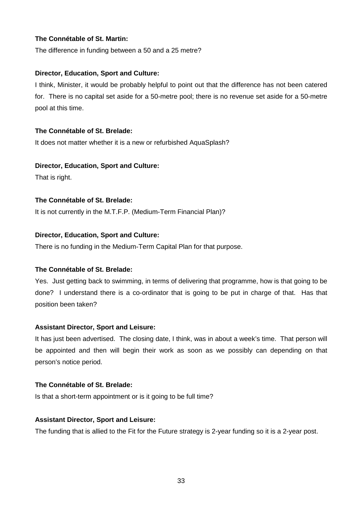## **The Connétable of St. Martin:**

The difference in funding between a 50 and a 25 metre?

## **Director, Education, Sport and Culture:**

I think, Minister, it would be probably helpful to point out that the difference has not been catered for. There is no capital set aside for a 50-metre pool; there is no revenue set aside for a 50-metre pool at this time.

## **The Connétable of St. Brelade:**

It does not matter whether it is a new or refurbished AquaSplash?

## **Director, Education, Sport and Culture:**

That is right.

## **The Connétable of St. Brelade:**

It is not currently in the M.T.F.P. (Medium-Term Financial Plan)?

## **Director, Education, Sport and Culture:**

There is no funding in the Medium-Term Capital Plan for that purpose.

## **The Connétable of St. Brelade:**

Yes. Just getting back to swimming, in terms of delivering that programme, how is that going to be done? I understand there is a co-ordinator that is going to be put in charge of that. Has that position been taken?

## **Assistant Director, Sport and Leisure:**

It has just been advertised. The closing date, I think, was in about a week's time. That person will be appointed and then will begin their work as soon as we possibly can depending on that person's notice period.

## **The Connétable of St. Brelade:**

Is that a short-term appointment or is it going to be full time?

## **Assistant Director, Sport and Leisure:**

The funding that is allied to the Fit for the Future strategy is 2-year funding so it is a 2-year post.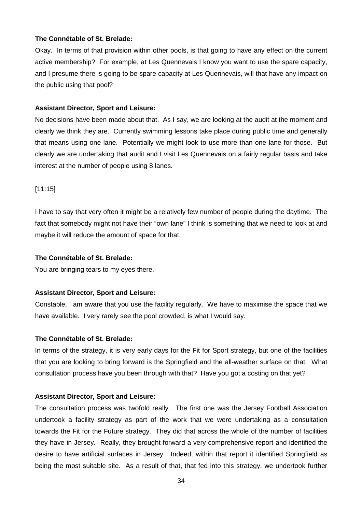### **The Connétable of St. Brelade:**

Okay. In terms of that provision within other pools, is that going to have any effect on the current active membership? For example, at Les Quennevais I know you want to use the spare capacity, and I presume there is going to be spare capacity at Les Quennevais, will that have any impact on the public using that pool?

## **Assistant Director, Sport and Leisure:**

No decisions have been made about that. As I say, we are looking at the audit at the moment and clearly we think they are. Currently swimming lessons take place during public time and generally that means using one lane. Potentially we might look to use more than one lane for those. But clearly we are undertaking that audit and I visit Les Quennevais on a fairly regular basis and take interest at the number of people using 8 lanes.

## [11:15]

I have to say that very often it might be a relatively few number of people during the daytime. The fact that somebody might not have their "own lane" I think is something that we need to look at and maybe it will reduce the amount of space for that.

#### **The Connétable of St. Brelade:**

You are bringing tears to my eyes there.

## **Assistant Director, Sport and Leisure:**

Constable, I am aware that you use the facility regularly. We have to maximise the space that we have available. I very rarely see the pool crowded, is what I would say.

#### **The Connétable of St. Brelade:**

In terms of the strategy, it is very early days for the Fit for Sport strategy, but one of the facilities that you are looking to bring forward is the Springfield and the all-weather surface on that. What consultation process have you been through with that? Have you got a costing on that yet?

## **Assistant Director, Sport and Leisure:**

The consultation process was twofold really. The first one was the Jersey Football Association undertook a facility strategy as part of the work that we were undertaking as a consultation towards the Fit for the Future strategy. They did that across the whole of the number of facilities they have in Jersey. Really, they brought forward a very comprehensive report and identified the desire to have artificial surfaces in Jersey. Indeed, within that report it identified Springfield as being the most suitable site. As a result of that, that fed into this strategy, we undertook further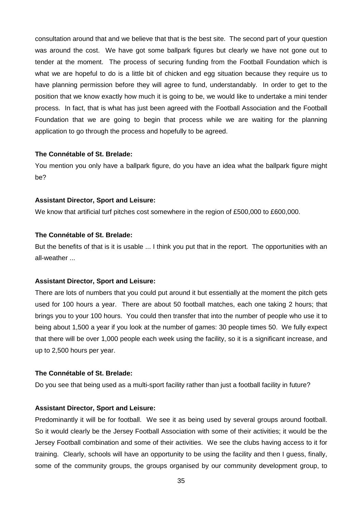consultation around that and we believe that that is the best site. The second part of your question was around the cost. We have got some ballpark figures but clearly we have not gone out to tender at the moment. The process of securing funding from the Football Foundation which is what we are hopeful to do is a little bit of chicken and egg situation because they require us to have planning permission before they will agree to fund, understandably. In order to get to the position that we know exactly how much it is going to be, we would like to undertake a mini tender process. In fact, that is what has just been agreed with the Football Association and the Football Foundation that we are going to begin that process while we are waiting for the planning application to go through the process and hopefully to be agreed.

## **The Connétable of St. Brelade:**

You mention you only have a ballpark figure, do you have an idea what the ballpark figure might be?

## **Assistant Director, Sport and Leisure:**

We know that artificial turf pitches cost somewhere in the region of £500,000 to £600,000.

## **The Connétable of St. Brelade:**

But the benefits of that is it is usable ... I think you put that in the report. The opportunities with an all-weather ...

## **Assistant Director, Sport and Leisure:**

There are lots of numbers that you could put around it but essentially at the moment the pitch gets used for 100 hours a year. There are about 50 football matches, each one taking 2 hours; that brings you to your 100 hours. You could then transfer that into the number of people who use it to being about 1,500 a year if you look at the number of games: 30 people times 50. We fully expect that there will be over 1,000 people each week using the facility, so it is a significant increase, and up to 2,500 hours per year.

#### **The Connétable of St. Brelade:**

Do you see that being used as a multi-sport facility rather than just a football facility in future?

## **Assistant Director, Sport and Leisure:**

Predominantly it will be for football. We see it as being used by several groups around football. So it would clearly be the Jersey Football Association with some of their activities; it would be the Jersey Football combination and some of their activities. We see the clubs having access to it for training. Clearly, schools will have an opportunity to be using the facility and then I guess, finally, some of the community groups, the groups organised by our community development group, to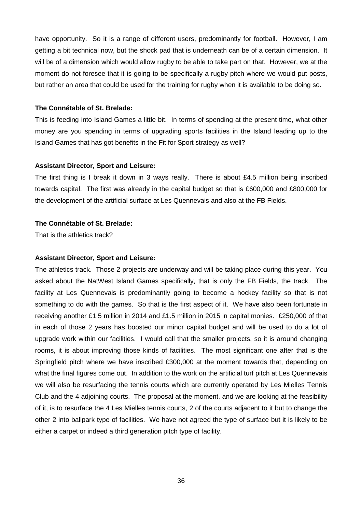have opportunity. So it is a range of different users, predominantly for football. However, I am getting a bit technical now, but the shock pad that is underneath can be of a certain dimension. It will be of a dimension which would allow rugby to be able to take part on that. However, we at the moment do not foresee that it is going to be specifically a rugby pitch where we would put posts, but rather an area that could be used for the training for rugby when it is available to be doing so.

## **The Connétable of St. Brelade:**

This is feeding into Island Games a little bit. In terms of spending at the present time, what other money are you spending in terms of upgrading sports facilities in the Island leading up to the Island Games that has got benefits in the Fit for Sport strategy as well?

## **Assistant Director, Sport and Leisure:**

The first thing is I break it down in 3 ways really. There is about £4.5 million being inscribed towards capital. The first was already in the capital budget so that is £600,000 and £800,000 for the development of the artificial surface at Les Quennevais and also at the FB Fields.

## **The Connétable of St. Brelade:**

That is the athletics track?

## **Assistant Director, Sport and Leisure:**

The athletics track. Those 2 projects are underway and will be taking place during this year. You asked about the NatWest Island Games specifically, that is only the FB Fields, the track. The facility at Les Quennevais is predominantly going to become a hockey facility so that is not something to do with the games. So that is the first aspect of it. We have also been fortunate in receiving another £1.5 million in 2014 and £1.5 million in 2015 in capital monies. £250,000 of that in each of those 2 years has boosted our minor capital budget and will be used to do a lot of upgrade work within our facilities. I would call that the smaller projects, so it is around changing rooms, it is about improving those kinds of facilities. The most significant one after that is the Springfield pitch where we have inscribed £300,000 at the moment towards that, depending on what the final figures come out. In addition to the work on the artificial turf pitch at Les Quennevais we will also be resurfacing the tennis courts which are currently operated by Les Mielles Tennis Club and the 4 adjoining courts. The proposal at the moment, and we are looking at the feasibility of it, is to resurface the 4 Les Mielles tennis courts, 2 of the courts adjacent to it but to change the other 2 into ballpark type of facilities. We have not agreed the type of surface but it is likely to be either a carpet or indeed a third generation pitch type of facility.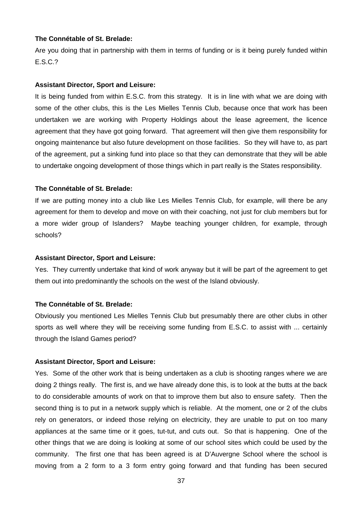#### **The Connétable of St. Brelade:**

Are you doing that in partnership with them in terms of funding or is it being purely funded within E.S.C.?

#### **Assistant Director, Sport and Leisure:**

It is being funded from within E.S.C. from this strategy. It is in line with what we are doing with some of the other clubs, this is the Les Mielles Tennis Club, because once that work has been undertaken we are working with Property Holdings about the lease agreement, the licence agreement that they have got going forward. That agreement will then give them responsibility for ongoing maintenance but also future development on those facilities. So they will have to, as part of the agreement, put a sinking fund into place so that they can demonstrate that they will be able to undertake ongoing development of those things which in part really is the States responsibility.

#### **The Connétable of St. Brelade:**

If we are putting money into a club like Les Mielles Tennis Club, for example, will there be any agreement for them to develop and move on with their coaching, not just for club members but for a more wider group of Islanders? Maybe teaching younger children, for example, through schools?

#### **Assistant Director, Sport and Leisure:**

Yes. They currently undertake that kind of work anyway but it will be part of the agreement to get them out into predominantly the schools on the west of the Island obviously.

#### **The Connétable of St. Brelade:**

Obviously you mentioned Les Mielles Tennis Club but presumably there are other clubs in other sports as well where they will be receiving some funding from E.S.C. to assist with ... certainly through the Island Games period?

#### **Assistant Director, Sport and Leisure:**

Yes. Some of the other work that is being undertaken as a club is shooting ranges where we are doing 2 things really. The first is, and we have already done this, is to look at the butts at the back to do considerable amounts of work on that to improve them but also to ensure safety. Then the second thing is to put in a network supply which is reliable. At the moment, one or 2 of the clubs rely on generators, or indeed those relying on electricity, they are unable to put on too many appliances at the same time or it goes, tut-tut, and cuts out. So that is happening. One of the other things that we are doing is looking at some of our school sites which could be used by the community. The first one that has been agreed is at D'Auvergne School where the school is moving from a 2 form to a 3 form entry going forward and that funding has been secured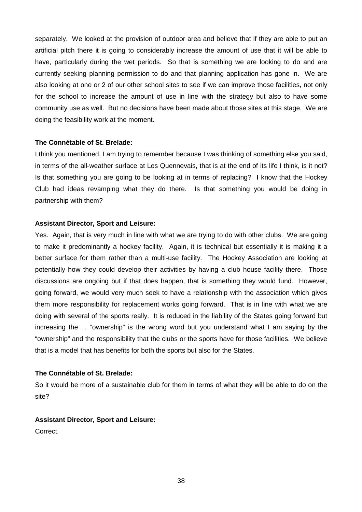separately. We looked at the provision of outdoor area and believe that if they are able to put an artificial pitch there it is going to considerably increase the amount of use that it will be able to have, particularly during the wet periods. So that is something we are looking to do and are currently seeking planning permission to do and that planning application has gone in. We are also looking at one or 2 of our other school sites to see if we can improve those facilities, not only for the school to increase the amount of use in line with the strategy but also to have some community use as well. But no decisions have been made about those sites at this stage. We are doing the feasibility work at the moment.

## **The Connétable of St. Brelade:**

I think you mentioned, I am trying to remember because I was thinking of something else you said, in terms of the all-weather surface at Les Quennevais, that is at the end of its life I think, is it not? Is that something you are going to be looking at in terms of replacing? I know that the Hockey Club had ideas revamping what they do there. Is that something you would be doing in partnership with them?

## **Assistant Director, Sport and Leisure:**

Yes. Again, that is very much in line with what we are trying to do with other clubs. We are going to make it predominantly a hockey facility. Again, it is technical but essentially it is making it a better surface for them rather than a multi-use facility. The Hockey Association are looking at potentially how they could develop their activities by having a club house facility there. Those discussions are ongoing but if that does happen, that is something they would fund. However, going forward, we would very much seek to have a relationship with the association which gives them more responsibility for replacement works going forward. That is in line with what we are doing with several of the sports really. It is reduced in the liability of the States going forward but increasing the ... "ownership" is the wrong word but you understand what I am saying by the "ownership" and the responsibility that the clubs or the sports have for those facilities. We believe that is a model that has benefits for both the sports but also for the States.

## **The Connétable of St. Brelade:**

So it would be more of a sustainable club for them in terms of what they will be able to do on the site?

## **Assistant Director, Sport and Leisure:**

Correct.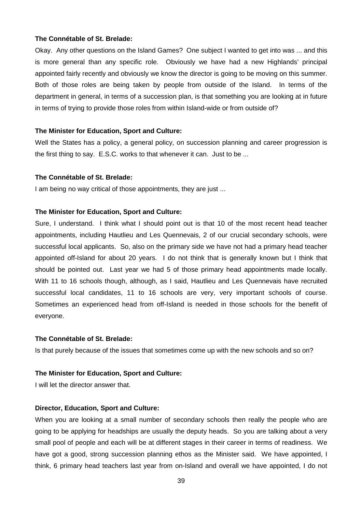## **The Connétable of St. Brelade:**

Okay. Any other questions on the Island Games? One subject I wanted to get into was ... and this is more general than any specific role. Obviously we have had a new Highlands' principal appointed fairly recently and obviously we know the director is going to be moving on this summer. Both of those roles are being taken by people from outside of the Island. In terms of the department in general, in terms of a succession plan, is that something you are looking at in future in terms of trying to provide those roles from within Island-wide or from outside of?

#### **The Minister for Education, Sport and Culture:**

Well the States has a policy, a general policy, on succession planning and career progression is the first thing to say. E.S.C. works to that whenever it can. Just to be ...

#### **The Connétable of St. Brelade:**

I am being no way critical of those appointments, they are just ...

#### **The Minister for Education, Sport and Culture:**

Sure, I understand. I think what I should point out is that 10 of the most recent head teacher appointments, including Hautlieu and Les Quennevais, 2 of our crucial secondary schools, were successful local applicants. So, also on the primary side we have not had a primary head teacher appointed off-Island for about 20 years. I do not think that is generally known but I think that should be pointed out. Last year we had 5 of those primary head appointments made locally. With 11 to 16 schools though, although, as I said, Hautlieu and Les Quennevais have recruited successful local candidates, 11 to 16 schools are very, very important schools of course. Sometimes an experienced head from off-Island is needed in those schools for the benefit of everyone.

#### **The Connétable of St. Brelade:**

Is that purely because of the issues that sometimes come up with the new schools and so on?

#### **The Minister for Education, Sport and Culture:**

I will let the director answer that.

#### **Director, Education, Sport and Culture:**

When you are looking at a small number of secondary schools then really the people who are going to be applying for headships are usually the deputy heads. So you are talking about a very small pool of people and each will be at different stages in their career in terms of readiness. We have got a good, strong succession planning ethos as the Minister said. We have appointed, I think, 6 primary head teachers last year from on-Island and overall we have appointed, I do not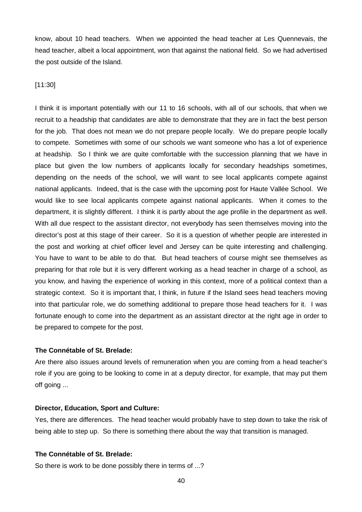know, about 10 head teachers. When we appointed the head teacher at Les Quennevais, the head teacher, albeit a local appointment, won that against the national field. So we had advertised the post outside of the Island.

## [11:30]

I think it is important potentially with our 11 to 16 schools, with all of our schools, that when we recruit to a headship that candidates are able to demonstrate that they are in fact the best person for the job. That does not mean we do not prepare people locally. We do prepare people locally to compete. Sometimes with some of our schools we want someone who has a lot of experience at headship. So I think we are quite comfortable with the succession planning that we have in place but given the low numbers of applicants locally for secondary headships sometimes, depending on the needs of the school, we will want to see local applicants compete against national applicants. Indeed, that is the case with the upcoming post for Haute Vallée School. We would like to see local applicants compete against national applicants. When it comes to the department, it is slightly different. I think it is partly about the age profile in the department as well. With all due respect to the assistant director, not everybody has seen themselves moving into the director's post at this stage of their career. So it is a question of whether people are interested in the post and working at chief officer level and Jersey can be quite interesting and challenging. You have to want to be able to do that. But head teachers of course might see themselves as preparing for that role but it is very different working as a head teacher in charge of a school, as you know, and having the experience of working in this context, more of a political context than a strategic context. So it is important that, I think, in future if the Island sees head teachers moving into that particular role, we do something additional to prepare those head teachers for it. I was fortunate enough to come into the department as an assistant director at the right age in order to be prepared to compete for the post.

#### **The Connétable of St. Brelade:**

Are there also issues around levels of remuneration when you are coming from a head teacher's role if you are going to be looking to come in at a deputy director, for example, that may put them off going ...

#### **Director, Education, Sport and Culture:**

Yes, there are differences. The head teacher would probably have to step down to take the risk of being able to step up. So there is something there about the way that transition is managed.

#### **The Connétable of St. Brelade:**

So there is work to be done possibly there in terms of ...?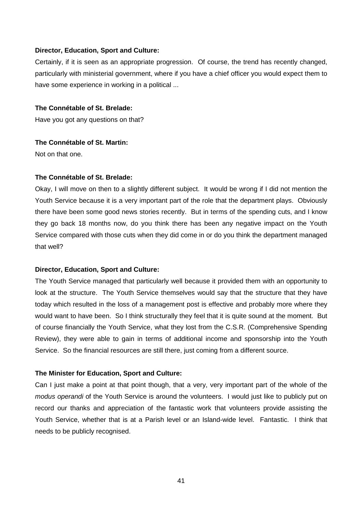Certainly, if it is seen as an appropriate progression. Of course, the trend has recently changed, particularly with ministerial government, where if you have a chief officer you would expect them to have some experience in working in a political ...

#### **The Connétable of St. Brelade:**

Have you got any questions on that?

## **The Connétable of St. Martin:**

Not on that one.

#### **The Connétable of St. Brelade:**

Okay, I will move on then to a slightly different subject. It would be wrong if I did not mention the Youth Service because it is a very important part of the role that the department plays. Obviously there have been some good news stories recently. But in terms of the spending cuts, and I know they go back 18 months now, do you think there has been any negative impact on the Youth Service compared with those cuts when they did come in or do you think the department managed that well?

#### **Director, Education, Sport and Culture:**

The Youth Service managed that particularly well because it provided them with an opportunity to look at the structure. The Youth Service themselves would say that the structure that they have today which resulted in the loss of a management post is effective and probably more where they would want to have been. So I think structurally they feel that it is quite sound at the moment. But of course financially the Youth Service, what they lost from the C.S.R. (Comprehensive Spending Review), they were able to gain in terms of additional income and sponsorship into the Youth Service. So the financial resources are still there, just coming from a different source.

#### **The Minister for Education, Sport and Culture:**

Can I just make a point at that point though, that a very, very important part of the whole of the modus operandi of the Youth Service is around the volunteers. I would just like to publicly put on record our thanks and appreciation of the fantastic work that volunteers provide assisting the Youth Service, whether that is at a Parish level or an Island-wide level. Fantastic. I think that needs to be publicly recognised.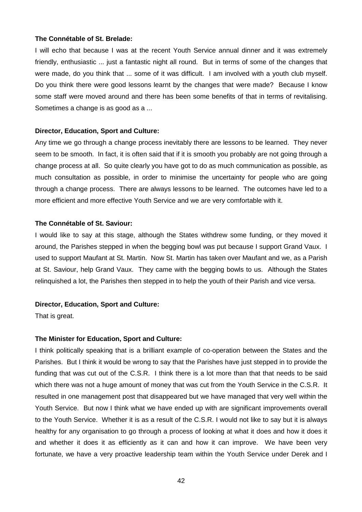#### **The Connétable of St. Brelade:**

I will echo that because I was at the recent Youth Service annual dinner and it was extremely friendly, enthusiastic ... just a fantastic night all round. But in terms of some of the changes that were made, do you think that ... some of it was difficult. I am involved with a youth club myself. Do you think there were good lessons learnt by the changes that were made? Because I know some staff were moved around and there has been some benefits of that in terms of revitalising. Sometimes a change is as good as a ...

#### **Director, Education, Sport and Culture:**

Any time we go through a change process inevitably there are lessons to be learned. They never seem to be smooth. In fact, it is often said that if it is smooth you probably are not going through a change process at all. So quite clearly you have got to do as much communication as possible, as much consultation as possible, in order to minimise the uncertainty for people who are going through a change process. There are always lessons to be learned. The outcomes have led to a more efficient and more effective Youth Service and we are very comfortable with it.

#### **The Connétable of St. Saviour:**

I would like to say at this stage, although the States withdrew some funding, or they moved it around, the Parishes stepped in when the begging bowl was put because I support Grand Vaux. I used to support Maufant at St. Martin. Now St. Martin has taken over Maufant and we, as a Parish at St. Saviour, help Grand Vaux. They came with the begging bowls to us. Although the States relinquished a lot, the Parishes then stepped in to help the youth of their Parish and vice versa.

#### **Director, Education, Sport and Culture:**

That is great.

#### **The Minister for Education, Sport and Culture:**

I think politically speaking that is a brilliant example of co-operation between the States and the Parishes. But I think it would be wrong to say that the Parishes have just stepped in to provide the funding that was cut out of the C.S.R. I think there is a lot more than that that needs to be said which there was not a huge amount of money that was cut from the Youth Service in the C.S.R. It resulted in one management post that disappeared but we have managed that very well within the Youth Service. But now I think what we have ended up with are significant improvements overall to the Youth Service. Whether it is as a result of the C.S.R. I would not like to say but it is always healthy for any organisation to go through a process of looking at what it does and how it does it and whether it does it as efficiently as it can and how it can improve. We have been very fortunate, we have a very proactive leadership team within the Youth Service under Derek and I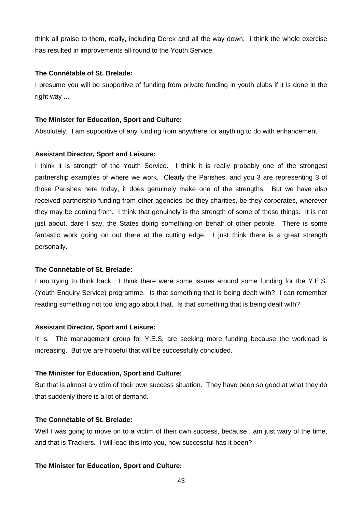think all praise to them, really, including Derek and all the way down. I think the whole exercise has resulted in improvements all round to the Youth Service.

#### **The Connétable of St. Brelade:**

I presume you will be supportive of funding from private funding in youth clubs if it is done in the right way ...

## **The Minister for Education, Sport and Culture:**

Absolutely. I am supportive of any funding from anywhere for anything to do with enhancement.

## **Assistant Director, Sport and Leisure:**

I think it is strength of the Youth Service. I think it is really probably one of the strongest partnership examples of where we work. Clearly the Parishes, and you 3 are representing 3 of those Parishes here today, it does genuinely make one of the strengths. But we have also received partnership funding from other agencies, be they charities, be they corporates, wherever they may be coming from. I think that genuinely is the strength of some of these things. It is not just about, dare I say, the States doing something on behalf of other people. There is some fantastic work going on out there at the cutting edge. I just think there is a great strength personally.

#### **The Connétable of St. Brelade:**

I am trying to think back. I think there were some issues around some funding for the Y.E.S. (Youth Enquiry Service) programme. Is that something that is being dealt with? I can remember reading something not too long ago about that. Is that something that is being dealt with?

## **Assistant Director, Sport and Leisure:**

It is. The management group for Y.E.S. are seeking more funding because the workload is increasing. But we are hopeful that will be successfully concluded.

#### **The Minister for Education, Sport and Culture:**

But that is almost a victim of their own success situation. They have been so good at what they do that suddenly there is a lot of demand.

## **The Connétable of St. Brelade:**

Well I was going to move on to a victim of their own success, because I am just wary of the time, and that is Trackers. I will lead this into you, how successful has it been?

## **The Minister for Education, Sport and Culture:**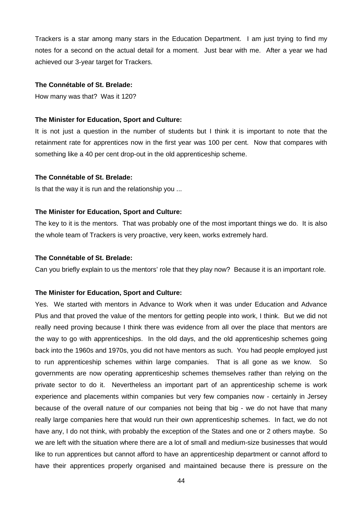Trackers is a star among many stars in the Education Department. I am just trying to find my notes for a second on the actual detail for a moment. Just bear with me. After a year we had achieved our 3-year target for Trackers.

#### **The Connétable of St. Brelade:**

How many was that? Was it 120?

#### **The Minister for Education, Sport and Culture:**

It is not just a question in the number of students but I think it is important to note that the retainment rate for apprentices now in the first year was 100 per cent. Now that compares with something like a 40 per cent drop-out in the old apprenticeship scheme.

#### **The Connétable of St. Brelade:**

Is that the way it is run and the relationship you ...

#### **The Minister for Education, Sport and Culture:**

The key to it is the mentors. That was probably one of the most important things we do. It is also the whole team of Trackers is very proactive, very keen, works extremely hard.

#### **The Connétable of St. Brelade:**

Can you briefly explain to us the mentors' role that they play now? Because it is an important role.

#### **The Minister for Education, Sport and Culture:**

Yes. We started with mentors in Advance to Work when it was under Education and Advance Plus and that proved the value of the mentors for getting people into work, I think. But we did not really need proving because I think there was evidence from all over the place that mentors are the way to go with apprenticeships. In the old days, and the old apprenticeship schemes going back into the 1960s and 1970s, you did not have mentors as such. You had people employed just to run apprenticeship schemes within large companies. That is all gone as we know. So governments are now operating apprenticeship schemes themselves rather than relying on the private sector to do it. Nevertheless an important part of an apprenticeship scheme is work experience and placements within companies but very few companies now - certainly in Jersey because of the overall nature of our companies not being that big - we do not have that many really large companies here that would run their own apprenticeship schemes. In fact, we do not have any, I do not think, with probably the exception of the States and one or 2 others maybe. So we are left with the situation where there are a lot of small and medium-size businesses that would like to run apprentices but cannot afford to have an apprenticeship department or cannot afford to have their apprentices properly organised and maintained because there is pressure on the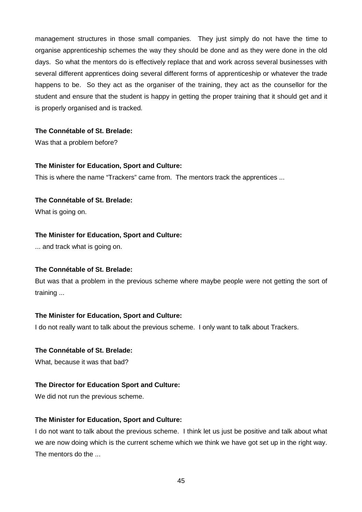management structures in those small companies. They just simply do not have the time to organise apprenticeship schemes the way they should be done and as they were done in the old days. So what the mentors do is effectively replace that and work across several businesses with several different apprentices doing several different forms of apprenticeship or whatever the trade happens to be. So they act as the organiser of the training, they act as the counsellor for the student and ensure that the student is happy in getting the proper training that it should get and it is properly organised and is tracked.

## **The Connétable of St. Brelade:**

Was that a problem before?

## **The Minister for Education, Sport and Culture:**

This is where the name "Trackers" came from. The mentors track the apprentices ...

## **The Connétable of St. Brelade:**

What is going on.

## **The Minister for Education, Sport and Culture:**

... and track what is going on.

## **The Connétable of St. Brelade:**

But was that a problem in the previous scheme where maybe people were not getting the sort of training ...

## **The Minister for Education, Sport and Culture:**

I do not really want to talk about the previous scheme. I only want to talk about Trackers.

## **The Connétable of St. Brelade:**

What, because it was that bad?

## **The Director for Education Sport and Culture:**

We did not run the previous scheme.

## **The Minister for Education, Sport and Culture:**

I do not want to talk about the previous scheme. I think let us just be positive and talk about what we are now doing which is the current scheme which we think we have got set up in the right way. The mentors do the ...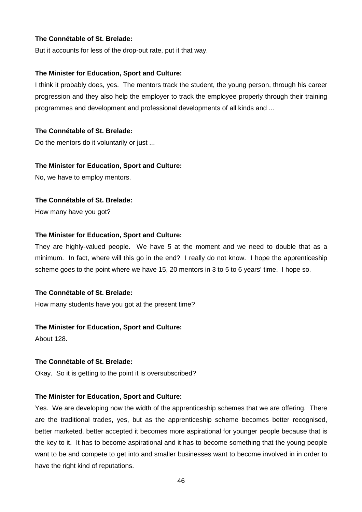## **The Connétable of St. Brelade:**

But it accounts for less of the drop-out rate, put it that way.

#### **The Minister for Education, Sport and Culture:**

I think it probably does, yes. The mentors track the student, the young person, through his career progression and they also help the employer to track the employee properly through their training programmes and development and professional developments of all kinds and ...

## **The Connétable of St. Brelade:**

Do the mentors do it voluntarily or just ...

#### **The Minister for Education, Sport and Culture:**

No, we have to employ mentors.

#### **The Connétable of St. Brelade:**

How many have you got?

#### **The Minister for Education, Sport and Culture:**

They are highly-valued people. We have 5 at the moment and we need to double that as a minimum. In fact, where will this go in the end? I really do not know. I hope the apprenticeship scheme goes to the point where we have 15, 20 mentors in 3 to 5 to 6 years' time. I hope so.

## **The Connétable of St. Brelade:**

How many students have you got at the present time?

#### **The Minister for Education, Sport and Culture:**

About 128.

#### **The Connétable of St. Brelade:**

Okay. So it is getting to the point it is oversubscribed?

#### **The Minister for Education, Sport and Culture:**

Yes. We are developing now the width of the apprenticeship schemes that we are offering. There are the traditional trades, yes, but as the apprenticeship scheme becomes better recognised, better marketed, better accepted it becomes more aspirational for younger people because that is the key to it. It has to become aspirational and it has to become something that the young people want to be and compete to get into and smaller businesses want to become involved in in order to have the right kind of reputations.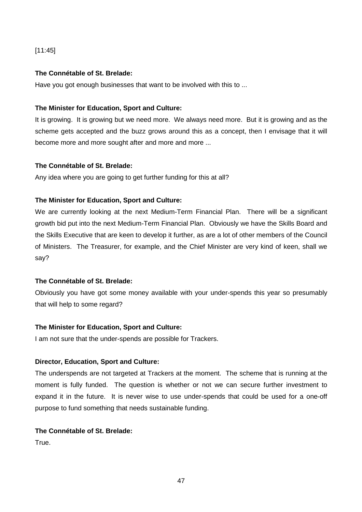## [11:45]

## **The Connétable of St. Brelade:**

Have you got enough businesses that want to be involved with this to ...

## **The Minister for Education, Sport and Culture:**

It is growing. It is growing but we need more. We always need more. But it is growing and as the scheme gets accepted and the buzz grows around this as a concept, then I envisage that it will become more and more sought after and more and more ...

## **The Connétable of St. Brelade:**

Any idea where you are going to get further funding for this at all?

## **The Minister for Education, Sport and Culture:**

We are currently looking at the next Medium-Term Financial Plan. There will be a significant growth bid put into the next Medium-Term Financial Plan. Obviously we have the Skills Board and the Skills Executive that are keen to develop it further, as are a lot of other members of the Council of Ministers. The Treasurer, for example, and the Chief Minister are very kind of keen, shall we say?

## **The Connétable of St. Brelade:**

Obviously you have got some money available with your under-spends this year so presumably that will help to some regard?

## **The Minister for Education, Sport and Culture:**

I am not sure that the under-spends are possible for Trackers.

## **Director, Education, Sport and Culture:**

The underspends are not targeted at Trackers at the moment. The scheme that is running at the moment is fully funded. The question is whether or not we can secure further investment to expand it in the future. It is never wise to use under-spends that could be used for a one-off purpose to fund something that needs sustainable funding.

## **The Connétable of St. Brelade:**

True.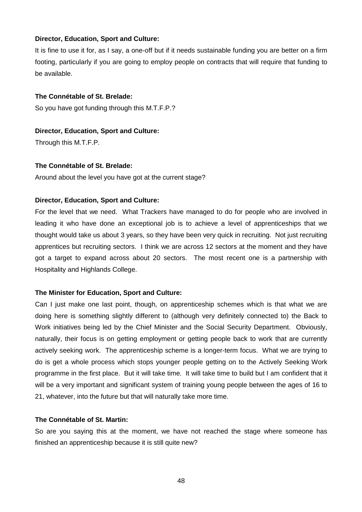It is fine to use it for, as I say, a one-off but if it needs sustainable funding you are better on a firm footing, particularly if you are going to employ people on contracts that will require that funding to be available.

## **The Connétable of St. Brelade:**

So you have got funding through this M.T.F.P.?

#### **Director, Education, Sport and Culture:**

Through this M.T.F.P.

#### **The Connétable of St. Brelade:**

Around about the level you have got at the current stage?

#### **Director, Education, Sport and Culture:**

For the level that we need. What Trackers have managed to do for people who are involved in leading it who have done an exceptional job is to achieve a level of apprenticeships that we thought would take us about 3 years, so they have been very quick in recruiting. Not just recruiting apprentices but recruiting sectors. I think we are across 12 sectors at the moment and they have got a target to expand across about 20 sectors. The most recent one is a partnership with Hospitality and Highlands College.

## **The Minister for Education, Sport and Culture:**

Can I just make one last point, though, on apprenticeship schemes which is that what we are doing here is something slightly different to (although very definitely connected to) the Back to Work initiatives being led by the Chief Minister and the Social Security Department. Obviously, naturally, their focus is on getting employment or getting people back to work that are currently actively seeking work. The apprenticeship scheme is a longer-term focus. What we are trying to do is get a whole process which stops younger people getting on to the Actively Seeking Work programme in the first place. But it will take time. It will take time to build but I am confident that it will be a very important and significant system of training young people between the ages of 16 to 21, whatever, into the future but that will naturally take more time.

#### **The Connétable of St. Martin:**

So are you saying this at the moment, we have not reached the stage where someone has finished an apprenticeship because it is still quite new?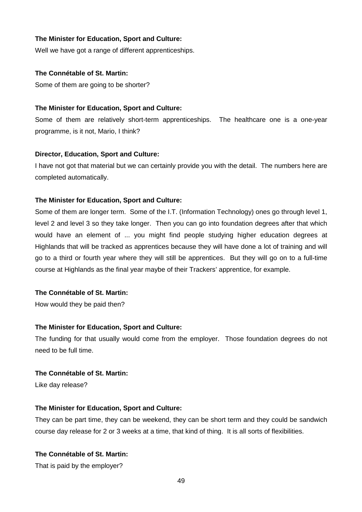## **The Minister for Education, Sport and Culture:**

Well we have got a range of different apprenticeships.

## **The Connétable of St. Martin:**

Some of them are going to be shorter?

## **The Minister for Education, Sport and Culture:**

Some of them are relatively short-term apprenticeships. The healthcare one is a one-year programme, is it not, Mario, I think?

## **Director, Education, Sport and Culture:**

I have not got that material but we can certainly provide you with the detail. The numbers here are completed automatically.

## **The Minister for Education, Sport and Culture:**

Some of them are longer term. Some of the I.T. (Information Technology) ones go through level 1, level 2 and level 3 so they take longer. Then you can go into foundation degrees after that which would have an element of ... you might find people studying higher education degrees at Highlands that will be tracked as apprentices because they will have done a lot of training and will go to a third or fourth year where they will still be apprentices. But they will go on to a full-time course at Highlands as the final year maybe of their Trackers' apprentice, for example.

## **The Connétable of St. Martin:**

How would they be paid then?

## **The Minister for Education, Sport and Culture:**

The funding for that usually would come from the employer. Those foundation degrees do not need to be full time.

#### **The Connétable of St. Martin:**

Like day release?

## **The Minister for Education, Sport and Culture:**

They can be part time, they can be weekend, they can be short term and they could be sandwich course day release for 2 or 3 weeks at a time, that kind of thing. It is all sorts of flexibilities.

## **The Connétable of St. Martin:**

That is paid by the employer?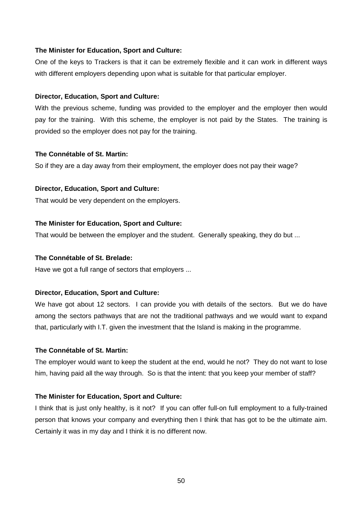## **The Minister for Education, Sport and Culture:**

One of the keys to Trackers is that it can be extremely flexible and it can work in different ways with different employers depending upon what is suitable for that particular employer.

## **Director, Education, Sport and Culture:**

With the previous scheme, funding was provided to the employer and the employer then would pay for the training. With this scheme, the employer is not paid by the States. The training is provided so the employer does not pay for the training.

## **The Connétable of St. Martin:**

So if they are a day away from their employment, the employer does not pay their wage?

## **Director, Education, Sport and Culture:**

That would be very dependent on the employers.

## **The Minister for Education, Sport and Culture:**

That would be between the employer and the student. Generally speaking, they do but ...

#### **The Connétable of St. Brelade:**

Have we got a full range of sectors that employers ...

## **Director, Education, Sport and Culture:**

We have got about 12 sectors. I can provide you with details of the sectors. But we do have among the sectors pathways that are not the traditional pathways and we would want to expand that, particularly with I.T. given the investment that the Island is making in the programme.

## **The Connétable of St. Martin:**

The employer would want to keep the student at the end, would he not? They do not want to lose him, having paid all the way through. So is that the intent: that you keep your member of staff?

## **The Minister for Education, Sport and Culture:**

I think that is just only healthy, is it not? If you can offer full-on full employment to a fully-trained person that knows your company and everything then I think that has got to be the ultimate aim. Certainly it was in my day and I think it is no different now.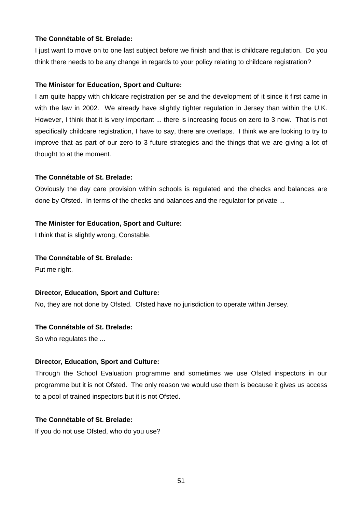## **The Connétable of St. Brelade:**

I just want to move on to one last subject before we finish and that is childcare regulation. Do you think there needs to be any change in regards to your policy relating to childcare registration?

## **The Minister for Education, Sport and Culture:**

I am quite happy with childcare registration per se and the development of it since it first came in with the law in 2002. We already have slightly tighter regulation in Jersey than within the U.K. However, I think that it is very important ... there is increasing focus on zero to 3 now. That is not specifically childcare registration, I have to say, there are overlaps. I think we are looking to try to improve that as part of our zero to 3 future strategies and the things that we are giving a lot of thought to at the moment.

## **The Connétable of St. Brelade:**

Obviously the day care provision within schools is regulated and the checks and balances are done by Ofsted. In terms of the checks and balances and the regulator for private ...

## **The Minister for Education, Sport and Culture:**

I think that is slightly wrong, Constable.

#### **The Connétable of St. Brelade:**

Put me right.

## **Director, Education, Sport and Culture:**

No, they are not done by Ofsted. Ofsted have no jurisdiction to operate within Jersey.

#### **The Connétable of St. Brelade:**

So who regulates the ...

#### **Director, Education, Sport and Culture:**

Through the School Evaluation programme and sometimes we use Ofsted inspectors in our programme but it is not Ofsted. The only reason we would use them is because it gives us access to a pool of trained inspectors but it is not Ofsted.

## **The Connétable of St. Brelade:**

If you do not use Ofsted, who do you use?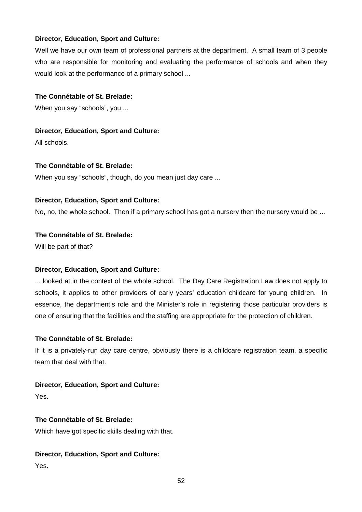Well we have our own team of professional partners at the department. A small team of 3 people who are responsible for monitoring and evaluating the performance of schools and when they would look at the performance of a primary school ...

**The Connétable of St. Brelade:** 

When you say "schools", you ...

**Director, Education, Sport and Culture:** 

All schools.

## **The Connétable of St. Brelade:**

When you say "schools", though, do you mean just day care ...

## **Director, Education, Sport and Culture:**

No, no, the whole school. Then if a primary school has got a nursery then the nursery would be ...

## **The Connétable of St. Brelade:**

Will be part of that?

## **Director, Education, Sport and Culture:**

... looked at in the context of the whole school. The Day Care Registration Law does not apply to schools, it applies to other providers of early years' education childcare for young children. In essence, the department's role and the Minister's role in registering those particular providers is one of ensuring that the facilities and the staffing are appropriate for the protection of children.

## **The Connétable of St. Brelade:**

If it is a privately-run day care centre, obviously there is a childcare registration team, a specific team that deal with that.

## **Director, Education, Sport and Culture:**

Yes.

## **The Connétable of St. Brelade:**

Which have got specific skills dealing with that.

**Director, Education, Sport and Culture:** 

Yes.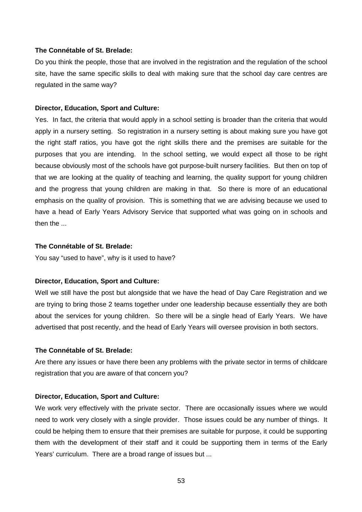#### **The Connétable of St. Brelade:**

Do you think the people, those that are involved in the registration and the regulation of the school site, have the same specific skills to deal with making sure that the school day care centres are regulated in the same way?

#### **Director, Education, Sport and Culture:**

Yes. In fact, the criteria that would apply in a school setting is broader than the criteria that would apply in a nursery setting. So registration in a nursery setting is about making sure you have got the right staff ratios, you have got the right skills there and the premises are suitable for the purposes that you are intending. In the school setting, we would expect all those to be right because obviously most of the schools have got purpose-built nursery facilities. But then on top of that we are looking at the quality of teaching and learning, the quality support for young children and the progress that young children are making in that. So there is more of an educational emphasis on the quality of provision. This is something that we are advising because we used to have a head of Early Years Advisory Service that supported what was going on in schools and then the ...

## **The Connétable of St. Brelade:**

You say "used to have", why is it used to have?

#### **Director, Education, Sport and Culture:**

Well we still have the post but alongside that we have the head of Day Care Registration and we are trying to bring those 2 teams together under one leadership because essentially they are both about the services for young children. So there will be a single head of Early Years. We have advertised that post recently, and the head of Early Years will oversee provision in both sectors.

## **The Connétable of St. Brelade:**

Are there any issues or have there been any problems with the private sector in terms of childcare registration that you are aware of that concern you?

## **Director, Education, Sport and Culture:**

We work very effectively with the private sector. There are occasionally issues where we would need to work very closely with a single provider. Those issues could be any number of things. It could be helping them to ensure that their premises are suitable for purpose, it could be supporting them with the development of their staff and it could be supporting them in terms of the Early Years' curriculum. There are a broad range of issues but ...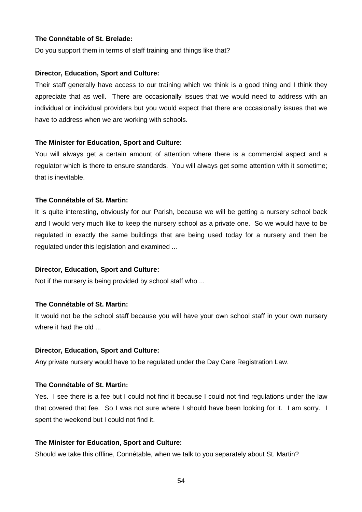## **The Connétable of St. Brelade:**

Do you support them in terms of staff training and things like that?

#### **Director, Education, Sport and Culture:**

Their staff generally have access to our training which we think is a good thing and I think they appreciate that as well. There are occasionally issues that we would need to address with an individual or individual providers but you would expect that there are occasionally issues that we have to address when we are working with schools.

## **The Minister for Education, Sport and Culture:**

You will always get a certain amount of attention where there is a commercial aspect and a regulator which is there to ensure standards. You will always get some attention with it sometime; that is inevitable.

## **The Connétable of St. Martin:**

It is quite interesting, obviously for our Parish, because we will be getting a nursery school back and I would very much like to keep the nursery school as a private one. So we would have to be regulated in exactly the same buildings that are being used today for a nursery and then be regulated under this legislation and examined ...

## **Director, Education, Sport and Culture:**

Not if the nursery is being provided by school staff who ...

## **The Connétable of St. Martin:**

It would not be the school staff because you will have your own school staff in your own nursery where it had the old ...

#### **Director, Education, Sport and Culture:**

Any private nursery would have to be regulated under the Day Care Registration Law.

## **The Connétable of St. Martin:**

Yes. I see there is a fee but I could not find it because I could not find regulations under the law that covered that fee. So I was not sure where I should have been looking for it. I am sorry. I spent the weekend but I could not find it.

#### **The Minister for Education, Sport and Culture:**

Should we take this offline, Connétable, when we talk to you separately about St. Martin?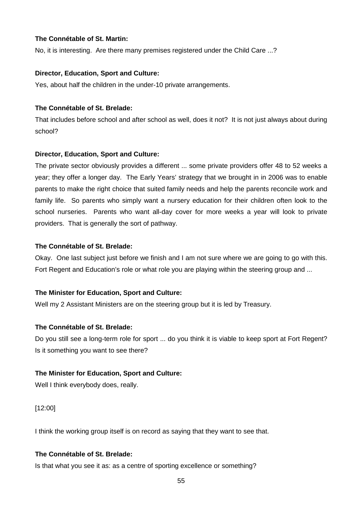## **The Connétable of St. Martin:**

No, it is interesting. Are there many premises registered under the Child Care ...?

## **Director, Education, Sport and Culture:**

Yes, about half the children in the under-10 private arrangements.

## **The Connétable of St. Brelade:**

That includes before school and after school as well, does it not? It is not just always about during school?

## **Director, Education, Sport and Culture:**

The private sector obviously provides a different ... some private providers offer 48 to 52 weeks a year; they offer a longer day. The Early Years' strategy that we brought in in 2006 was to enable parents to make the right choice that suited family needs and help the parents reconcile work and family life. So parents who simply want a nursery education for their children often look to the school nurseries. Parents who want all-day cover for more weeks a year will look to private providers. That is generally the sort of pathway.

## **The Connétable of St. Brelade:**

Okay. One last subject just before we finish and I am not sure where we are going to go with this. Fort Regent and Education's role or what role you are playing within the steering group and ...

## **The Minister for Education, Sport and Culture:**

Well my 2 Assistant Ministers are on the steering group but it is led by Treasury.

## **The Connétable of St. Brelade:**

Do you still see a long-term role for sport ... do you think it is viable to keep sport at Fort Regent? Is it something you want to see there?

## **The Minister for Education, Sport and Culture:**

Well I think everybody does, really.

[12:00]

I think the working group itself is on record as saying that they want to see that.

## **The Connétable of St. Brelade:**

Is that what you see it as: as a centre of sporting excellence or something?